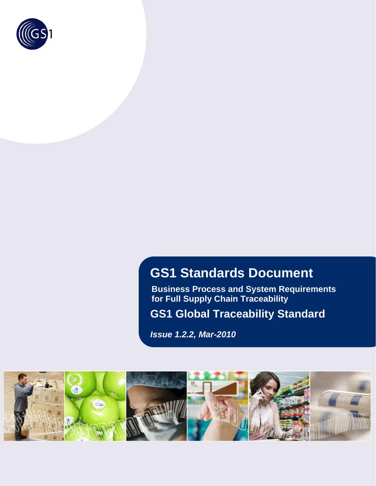

# **GS1 Standards Document**

**Business Process and System Requirements for Full Supply Chain Traceability** 

**GS1 Global Traceability Standard** 

*Issue 1.2.2, Mar-2010* 

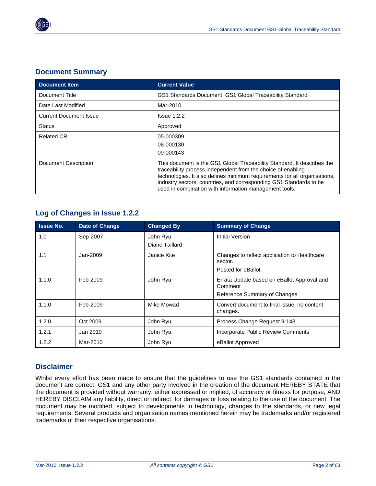

#### **Document Summary**

| <b>Document Item</b>          | <b>Current Value</b>                                                                                                                                                                                                                                                                                                                                 |
|-------------------------------|------------------------------------------------------------------------------------------------------------------------------------------------------------------------------------------------------------------------------------------------------------------------------------------------------------------------------------------------------|
| Document Title                | GS1 Standards Document GS1 Global Traceability Standard                                                                                                                                                                                                                                                                                              |
| Date Last Modified            | Mar-2010                                                                                                                                                                                                                                                                                                                                             |
| <b>Current Document Issue</b> | $l$ ssue 1.2.2                                                                                                                                                                                                                                                                                                                                       |
| <b>Status</b>                 | Approved                                                                                                                                                                                                                                                                                                                                             |
| <b>Related CR</b>             | 05-000309<br>08-000130<br>09-000143                                                                                                                                                                                                                                                                                                                  |
| Document Description          | This document is the GS1 Global Traceability Standard. It describes the<br>traceability process independent from the choice of enabling<br>technologies. It also defines minimum requirements for all organisations,<br>industry sectors, countries, and corresponding GS1 Standards to be<br>used in combination with information management tools. |

## **Log of Changes in Issue 1.2.2**

| <b>Issue No.</b> | <b>Date of Change</b> | <b>Changed By</b>          | <b>Summary of Change</b>                                                               |
|------------------|-----------------------|----------------------------|----------------------------------------------------------------------------------------|
| 1.0              | Sep-2007              | John Ryu<br>Diane Taillard | Initial Version                                                                        |
| 1.1              | Jan-2009              | Janice Kite                | Changes to reflect application to Healthcare<br>sector.<br>Posted for eBallot.         |
| 1.1.0            | Feb-2009              | John Ryu                   | Errata Update based on eBallot Approval and<br>Comment<br>Reference Summary of Changes |
| 1.1.0            | Feb-2009              | Mike Mowad                 | Convert document to final issue, no content<br>changes.                                |
| 1.2.0            | Oct 2009              | John Ryu                   | Process Change Request 9-143                                                           |
| 1.2.1            | Jan 2010              | John Ryu                   | Incorporate Public Review Comments                                                     |
| 1.2.2            | Mar-2010              | John Ryu                   | eBallot Approved                                                                       |

#### **Disclaimer**

Whilst every effort has been made to ensure that the guidelines to use the GS1 standards contained in the document are correct, GS1 and any other party involved in the creation of the document HEREBY STATE that the document is provided without warranty, either expressed or implied, of accuracy or fitness for purpose, AND HEREBY DISCLAIM any liability, direct or indirect, for damages or loss relating to the use of the document. The document may be modified, subject to developments in technology, changes to the standards, or new legal requirements. Several products and organisation names mentioned herein may be trademarks and/or registered trademarks of their respective organisations.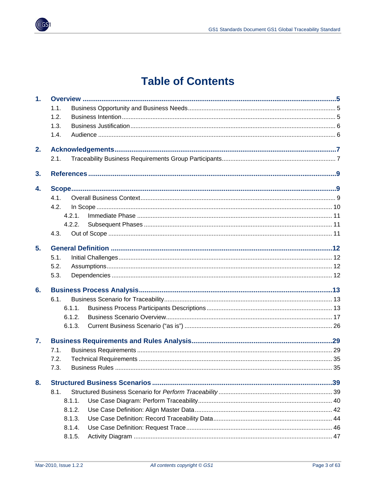

# **Table of Contents**

| 1 <sub>r</sub> |        |  |
|----------------|--------|--|
|                | 1.1.   |  |
|                | 1.2.   |  |
|                | 1.3.   |  |
|                | 1.4.   |  |
| 2.             |        |  |
|                | 2.1.   |  |
| 3.             |        |  |
| 4.             |        |  |
|                | 4.1.   |  |
|                | 4.2.   |  |
|                | 4 2 1  |  |
|                | 4.2.2. |  |
|                | 4.3.   |  |
| 5.             |        |  |
|                | 5.1.   |  |
|                | 5.2.   |  |
|                | 5.3.   |  |
| 6.             |        |  |
|                | 6.1    |  |
|                | 6.1.1. |  |
|                | 6.1.2. |  |
|                | 6.1.3. |  |
| $\mathbf{7}$ . |        |  |
|                | 7.1.   |  |
|                | 7.2.   |  |
|                | 7.3.   |  |
| 8.             |        |  |
|                | 8.1.   |  |
|                | 8.1.1. |  |
|                | 8.1.2. |  |
|                | 8.1.3. |  |
|                | 8.1.4. |  |
|                | 8.1.5. |  |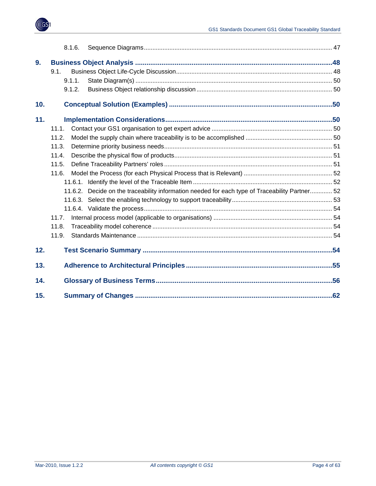

|     | 8.1.6.                                                                                         |  |
|-----|------------------------------------------------------------------------------------------------|--|
| 9.  |                                                                                                |  |
|     | 9.1.                                                                                           |  |
|     | 9.1.1.                                                                                         |  |
|     | 9.1.2.                                                                                         |  |
| 10. |                                                                                                |  |
| 11. |                                                                                                |  |
|     | 11.1.                                                                                          |  |
|     | 11.2.                                                                                          |  |
|     | 11.3.                                                                                          |  |
|     | 11.4.                                                                                          |  |
|     | 11.5.                                                                                          |  |
|     | 11.6.                                                                                          |  |
|     |                                                                                                |  |
|     | 11.6.2. Decide on the traceability information needed for each type of Traceability Partner 52 |  |
|     |                                                                                                |  |
|     |                                                                                                |  |
|     | 11.7.                                                                                          |  |
|     | 11.8.                                                                                          |  |
|     | 11.9.                                                                                          |  |
| 12. |                                                                                                |  |
| 13. |                                                                                                |  |
| 14. |                                                                                                |  |
| 15. |                                                                                                |  |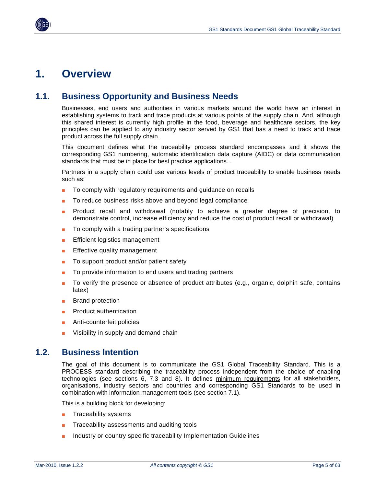## <span id="page-4-1"></span><span id="page-4-0"></span>**1. Overview**

## <span id="page-4-2"></span>**1.1. Business Opportunity and Business Needs**

Businesses, end users and authorities in various markets around the world have an interest in establishing systems to track and trace products at various points of the supply chain. And, although this shared interest is currently high profile in the food, beverage and healthcare sectors, the key principles can be applied to any industry sector served by GS1 that has a need to track and trace product across the full supply chain.

This document defines what the traceability process standard encompasses and it shows the corresponding GS1 numbering, automatic identification data capture (AIDC) or data communication standards that must be in place for best practice applications. .

Partners in a supply chain could use various levels of product traceability to enable business needs such as:

- To comply with regulatory requirements and guidance on recalls
- To reduce business risks above and beyond legal compliance
- Product recall and withdrawal (notably to achieve a greater degree of precision, to demonstrate control, increase efficiency and reduce the cost of product recall or withdrawal)
- To comply with a trading partner's specifications
- **Efficient logistics management**
- Effective quality management
- To support product and/or patient safety
- To provide information to end users and trading partners
- To verify the presence or absence of product attributes (e.g., organic, dolphin safe, contains latex)
- **Brand protection**
- Product authentication
- Anti-counterfeit policies
- Visibility in supply and demand chain

## <span id="page-4-3"></span>**1.2. Business Intention**

The goal of this document is to communicate the GS1 Global Traceability Standard. This is a PROCESS standard describing the traceability process independent from the choice of enabling technologies (see sections 6, 7.3 and 8). It defines minimum requirements for all stakeholders, organisations, industry sectors and countries and corresponding GS1 Standards to be used in combination with information management tools (see section 7.1).

This is a building block for developing:

- Traceability systems
- Traceability assessments and auditing tools
- Industry or country specific traceability Implementation Guidelines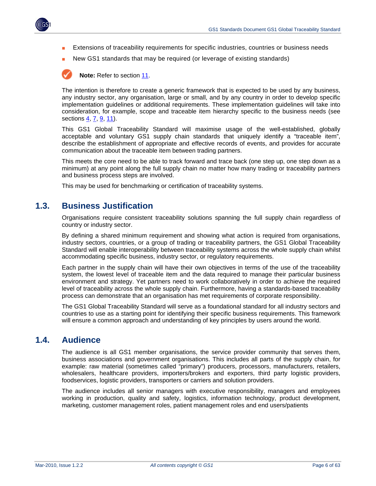<span id="page-5-0"></span>

- Extensions of traceability requirements for specific industries, countries or business needs
- New GS1 standards that may be required (or leverage of existing standards)

**Note:** Refer to section [11.](#page-49-4)

The intention is therefore to create a generic framework that is expected to be used by any business, any industry sector, any organisation, large or small, and by any country in order to develop specific implementation guidelines or additional requirements. These implementation guidelines will take into consideration, for example, scope and traceable item hierarchy specific to the business needs (see sections [4,](#page-8-2) [7,](#page-28-1) [9](#page-47-1), [11\)](#page-49-4).

This GS1 Global Traceability Standard will maximise usage of the well-established, globally acceptable and voluntary GS1 supply chain standards that uniquely identify a "traceable item", describe the establishment of appropriate and effective records of events, and provides for accurate communication about the traceable item between trading partners.

This meets the core need to be able to track forward and trace back (one step up, one step down as a minimum) at any point along the full supply chain no matter how many trading or traceability partners and business process steps are involved.

This may be used for benchmarking or certification of traceability systems.

### <span id="page-5-1"></span>**1.3. Business Justification**

Organisations require consistent traceability solutions spanning the full supply chain regardless of country or industry sector.

By defining a shared minimum requirement and showing what action is required from organisations, industry sectors, countries, or a group of trading or traceability partners, the GS1 Global Traceability Standard will enable interoperability between traceability systems across the whole supply chain whilst accommodating specific business, industry sector, or regulatory requirements.

Each partner in the supply chain will have their own objectives in terms of the use of the traceability system, the lowest level of traceable item and the data required to manage their particular business environment and strategy. Yet partners need to work collaboratively in order to achieve the required level of traceability across the whole supply chain. Furthermore, having a standards-based traceability process can demonstrate that an organisation has met requirements of corporate responsibility.

The GS1 Global Traceability Standard will serve as a foundational standard for all industry sectors and countries to use as a starting point for identifying their specific business requirements. This framework will ensure a common approach and understanding of key principles by users around the world.

## <span id="page-5-2"></span>**1.4. Audience**

The audience is all GS1 member organisations, the service provider community that serves them, business associations and government organisations. This includes all parts of the supply chain, for example: raw material (sometimes called "primary") producers, processors, manufacturers, retailers, wholesalers, healthcare providers, importers/brokers and exporters, third party logistic providers, foodservices, logistic providers, transporters or carriers and solution providers.

The audience includes all senior managers with executive responsibility, managers and employees working in production, quality and safety, logistics, information technology, product development, marketing, customer management roles, patient management roles and end users/patients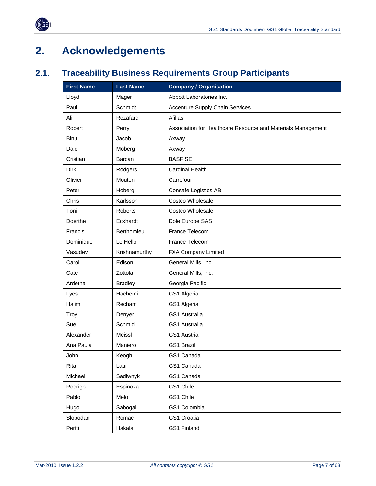

# <span id="page-6-1"></span>**2. Acknowledgements**

<span id="page-6-0"></span> $(\sqrt[6]{6})$ 

## <span id="page-6-2"></span>**2.1. Traceability Business Requirements Group Participants**

| <b>First Name</b> | <b>Last Name</b> | <b>Company / Organisation</b>                                |
|-------------------|------------------|--------------------------------------------------------------|
| Lloyd             | Mager            | Abbott Laboratories Inc.                                     |
| Paul              | Schmidt          | <b>Accenture Supply Chain Services</b>                       |
| Ali               | Rezafard         | <b>Afilias</b>                                               |
| Robert            | Perry            | Association for Healthcare Resource and Materials Management |
| Binu              | Jacob            | Axway                                                        |
| Dale              | Moberg           | Axway                                                        |
| Cristian          | Barcan           | <b>BASF SE</b>                                               |
| Dirk              | Rodgers          | <b>Cardinal Health</b>                                       |
| Olivier           | Mouton           | Carrefour                                                    |
| Peter             | Hoberg           | Consafe Logistics AB                                         |
| Chris             | Karlsson         | <b>Costco Wholesale</b>                                      |
| Toni              | <b>Roberts</b>   | Costco Wholesale                                             |
| Doerthe           | Eckhardt         | Dole Europe SAS                                              |
| Francis           | Berthomieu       | France Telecom                                               |
| Dominique         | Le Hello         | France Telecom                                               |
| Vasudev           | Krishnamurthy    | <b>FXA Company Limited</b>                                   |
| Carol             | Edison           | General Mills, Inc.                                          |
| Cate              | Zottola          | General Mills, Inc.                                          |
| Ardetha           | <b>Bradley</b>   | Georgia Pacific                                              |
| Lyes              | Hachemi          | GS1 Algeria                                                  |
| Halim             | Recham           | GS1 Algeria                                                  |
| Troy              | Denyer           | <b>GS1 Australia</b>                                         |
| Sue               | Schmid           | GS1 Australia                                                |
| Alexander         | <b>Meissl</b>    | GS1 Austria                                                  |
| Ana Paula         | Maniero          | <b>GS1 Brazil</b>                                            |
| John              | Keogh            | GS1 Canada                                                   |
| Rita              | Laur             | GS1 Canada                                                   |
| Michael           | Sadiwnyk         | GS1 Canada                                                   |
| Rodrigo           | Espinoza         | GS1 Chile                                                    |
| Pablo             | Melo             | GS1 Chile                                                    |
| Hugo              | Sabogal          | GS1 Colombia                                                 |
| Slobodan          | Romac            | GS1 Croatia                                                  |
| Pertti            | Hakala           | GS1 Finland                                                  |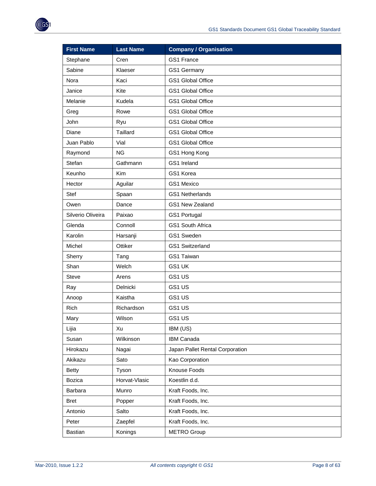| <b>First Name</b> | <b>Last Name</b> | <b>Company / Organisation</b>   |
|-------------------|------------------|---------------------------------|
| Stephane          | Cren             | GS1 France                      |
| Sabine            | Klaeser          | GS1 Germany                     |
| Nora              | Kaci             | GS1 Global Office               |
| Janice            | Kite             | GS1 Global Office               |
| Melanie           | Kudela           | GS1 Global Office               |
| Greg              | Rowe             | GS1 Global Office               |
| John              | Ryu              | GS1 Global Office               |
| Diane             | <b>Taillard</b>  | GS1 Global Office               |
| Juan Pablo        | Vial             | GS1 Global Office               |
| Raymond           | <b>NG</b>        | GS1 Hong Kong                   |
| Stefan            | Gathmann         | GS1 Ireland                     |
| Keunho            | Kim              | GS1 Korea                       |
| Hector            | Aguilar          | GS1 Mexico                      |
| Stef              | Spaan            | <b>GS1 Netherlands</b>          |
| Owen              | Dance            | GS1 New Zealand                 |
| Silverio Oliveira | Paixao           | GS1 Portugal                    |
| Glenda            | Connoll          | GS1 South Africa                |
| Karolin           | Harsanji         | GS1 Sweden                      |
| Michel            | Ottiker          | <b>GS1 Switzerland</b>          |
| Sherry            | Tang             | GS1 Taiwan                      |
| Shan              | Welch            | GS1 UK                          |
| <b>Steve</b>      | Arens            | GS1 US                          |
| Ray               | Delnicki         | GS1 US                          |
| Anoop             | Kaistha          | GS1 US                          |
| Rich              | Richardson       | GS1 US                          |
| Mary              | Wilson           | GS1 US                          |
| Lijia             | Xu               | IBM (US)                        |
| Susan             | Wilkinson        | IBM Canada                      |
| Hirokazu          | Nagai            | Japan Pallet Rental Corporation |
| Akikazu           | Sato             | Kao Corporation                 |
| <b>Betty</b>      | Tyson            | Knouse Foods                    |
| Bozica            | Horvat-Vlasic    | Koestlin d.d.                   |
| Barbara           | Munro            | Kraft Foods, Inc.               |
| <b>Bret</b>       | Popper           | Kraft Foods, Inc.               |
| Antonio           | Salto            | Kraft Foods, Inc.               |
| Peter             | Zaepfel          | Kraft Foods, Inc.               |
| Bastian           | Konings          | <b>METRO Group</b>              |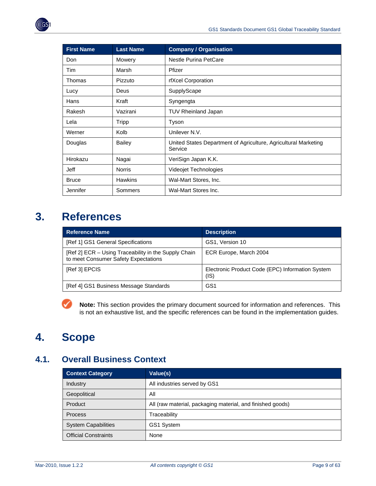<span id="page-8-0"></span>

| <b>First Name</b> | <b>Last Name</b> | <b>Company / Organisation</b>                                              |
|-------------------|------------------|----------------------------------------------------------------------------|
| Don               | Mowery           | <b>Nestle Purina PetCare</b>                                               |
| Tim               | Marsh            | Pfizer                                                                     |
| Thomas            | Pizzuto          | rfXcel Corporation                                                         |
| Lucy              | Deus             | SupplyScape                                                                |
| Hans              | Kraft            | Syngengta                                                                  |
| Rakesh            | Vazirani         | <b>TUV Rheinland Japan</b>                                                 |
| Lela              | <b>Tripp</b>     | Tyson                                                                      |
| Werner            | Kolb             | Unilever N.V.                                                              |
| Douglas           | <b>Bailey</b>    | United States Department of Agriculture, Agricultural Marketing<br>Service |
| Hirokazu          | Nagai            | VeriSign Japan K.K.                                                        |
| Jeff              | <b>Norris</b>    | Videojet Technologies                                                      |
| <b>Bruce</b>      | <b>Hawkins</b>   | Wal-Mart Stores, Inc.                                                      |
| Jennifer          | Sommers          | Wal-Mart Stores Inc.                                                       |

# <span id="page-8-1"></span>**3. References**

| <b>Reference Name</b>                                                                        | <b>Description</b>                                       |
|----------------------------------------------------------------------------------------------|----------------------------------------------------------|
| [Ref 1] GS1 General Specifications                                                           | GS1, Version 10                                          |
| [Ref 2] ECR – Using Traceability in the Supply Chain<br>to meet Consumer Safety Expectations | ECR Europe, March 2004                                   |
| [Ref 3] EPCIS                                                                                | Electronic Product Code (EPC) Information System<br>(IS) |
| [Ref 4] GS1 Business Message Standards                                                       | GS1                                                      |

**Note:** This section provides the primary document sourced for information and references. This ✓ is not an exhaustive list, and the specific references can be found in the implementation guides.

# <span id="page-8-2"></span>**4. Scope**

## <span id="page-8-3"></span>**4.1. Overall Business Context**

| <b>Context Category</b>     | Value(s)                                                   |
|-----------------------------|------------------------------------------------------------|
| Industry                    | All industries served by GS1                               |
| Geopolitical                | All                                                        |
| Product                     | All (raw material, packaging material, and finished goods) |
| <b>Process</b>              | Traceability                                               |
| <b>System Capabilities</b>  | GS1 System                                                 |
| <b>Official Constraints</b> | None                                                       |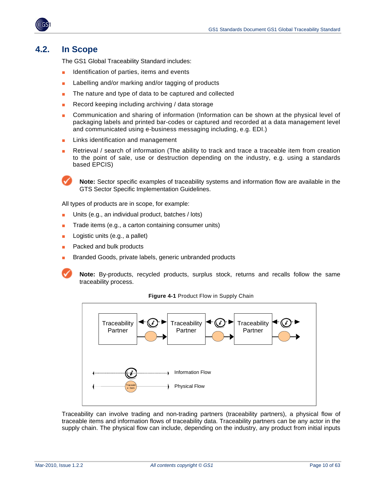<span id="page-9-0"></span>

## <span id="page-9-1"></span>**4.2. In Scope**

The GS1 Global Traceability Standard includes:

- Identification of parties, items and events
- Labelling and/or marking and/or tagging of products
- The nature and type of data to be captured and collected
- Record keeping including archiving / data storage
- Communication and sharing of information (Information can be shown at the physical level of packaging labels and printed bar-codes or captured and recorded at a data management level and communicated using e-business messaging including, e.g. EDI.)
- Links identification and management
- Retrieval / search of information (The ability to track and trace a traceable item from creation to the point of sale, use or destruction depending on the industry, e.g. using a standards based EPCIS)

**Note:** Sector specific examples of traceability systems and information flow are available in the GTS Sector Specific Implementation Guidelines.

All types of products are in scope, for example:

- Units (e.g., an individual product, batches / lots)
- Trade items (e.g., a carton containing consumer units)
- Logistic units (e.g., a pallet)
- Packed and bulk products
- Branded Goods, private labels, generic unbranded products

**Note:** By-products, recycled products, surplus stock, returns and recalls follow the same traceability process.



**Figure 4-1** Product Flow in Supply Chain

Traceability can involve trading and non-trading partners (traceability partners), a physical flow of traceable items and information flows of traceability data. Traceability partners can be any actor in the supply chain. The physical flow can include, depending on the industry, any product from initial inputs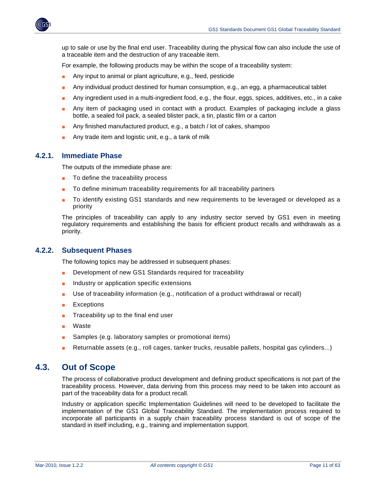<span id="page-10-0"></span>

up to sale or use by the final end user. Traceability during the physical flow can also include the use of a traceable item and the destruction of any traceable item.

For example, the following products may be within the scope of a traceability system:

- Any input to animal or plant agriculture, e.g., feed, pesticide
- Any individual product destined for human consumption, e.g., an egg, a pharmaceutical tablet
- Any ingredient used in a multi-ingredient food, e.g., the flour, eggs, spices, additives, etc., in a cake
- Any item of packaging used in contact with a product. Examples of packaging include a glass bottle, a sealed foil pack, a sealed blister pack, a tin, plastic film or a carton
- Any finished manufactured product, e.g., a batch / lot of cakes, shampoo
- Any trade item and logistic unit, e.g., a tank of milk

#### <span id="page-10-1"></span>**4.2.1. Immediate Phase**

The outputs of the immediate phase are:

- To define the traceability process
- To define minimum traceability requirements for all traceability partners
- To identify existing GS1 standards and new requirements to be leveraged or developed as a priority

The principles of traceability can apply to any industry sector served by GS1 even in meeting regulatory requirements and establishing the basis for efficient product recalls and withdrawals as a priority.

#### <span id="page-10-2"></span>**4.2.2. Subsequent Phases**

The following topics may be addressed in subsequent phases:

- Development of new GS1 Standards required for traceability
- Industry or application specific extensions
- Use of traceability information (e.g., notification of a product withdrawal or recall)
- **Exceptions**
- Traceability up to the final end user
- Waste
- Samples (e.g. laboratory samples or promotional items)
- Returnable assets (e.g., roll cages, tanker trucks, reusable pallets, hospital gas cylinders...)

### <span id="page-10-3"></span>**4.3. Out of Scope**

The process of collaborative product development and defining product specifications is not part of the traceability process. However, data deriving from this process may need to be taken into account as part of the traceability data for a product recall.

Industry or application specific Implementation Guidelines will need to be developed to facilitate the implementation of the GS1 Global Traceability Standard. The implementation process required to incorporate all participants in a supply chain traceability process standard is out of scope of the standard in itself including, e.g., training and implementation support.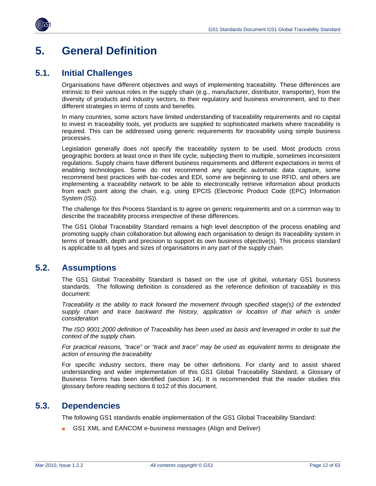<span id="page-11-0"></span>

## <span id="page-11-1"></span>**5. General Definition**

## <span id="page-11-2"></span>**5.1. Initial Challenges**

Organisations have different objectives and ways of implementing traceability. These differences are intrinsic to their various roles in the supply chain (e.g., manufacturer, distributor, transporter), from the diversity of products and industry sectors, to their regulatory and business environment, and to their different strategies in terms of costs and benefits.

In many countries, some actors have limited understanding of traceability requirements and no capital to invest in traceability tools, yet products are supplied to sophisticated markets where traceability is required. This can be addressed using generic requirements for traceability using simple business processes.

Legislation generally does not specify the traceability system to be used. Most products cross geographic borders at least once in their life cycle, subjecting them to multiple, sometimes inconsistent regulations. Supply chains have different business requirements and different expectations in terms of enabling technologies. Some do not recommend any specific automatic data capture, some recommend best practices with bar-codes and EDI, some are beginning to use RFID, and others are implementing a traceability network to be able to electronically retrieve information about products from each point along the chain, e.g. using EPCIS (Electronic Product Code (EPC) Information System (IS)).

The challenge for this Process Standard is to agree on generic requirements and on a common way to describe the traceability process irrespective of these differences.

The GS1 Global Traceability Standard remains a high level description of the process enabling and promoting supply chain collaboration but allowing each organisation to design its traceability system in terms of breadth, depth and precision to support its own business objective(s). This process standard is applicable to all types and sizes of organisations in any part of the supply chain.

## <span id="page-11-3"></span>**5.2. Assumptions**

The GS1 Global Traceability Standard is based on the use of global, voluntary GS1 business standards. The following definition is considered as the reference definition of traceability in this document:

*Traceability is the ability to track forward the movement through specified stage(s) of the extended*  supply chain and trace backward the history, application or location of that which is under *consideration* 

*The ISO 9001:2000 definition of Traceability has been used as basis and leveraged in order to suit the context of the supply chain.* 

*For practical reasons, "trace" or "track and trace" may be used as equivalent terms to designate the action of ensuring the traceability*

For specific industry sectors, there may be other definitions. For clarity and to assist shared understanding and wider implementation of this GS1 Global Traceability Standard, a Glossary of Business Terms has been identified (section 14). It is recommended that the reader studies this glossary before reading sections 6 to12 of this document.

## <span id="page-11-4"></span>**5.3. Dependencies**

The following GS1 standards enable implementation of the GS1 Global Traceability Standard:

GS1 XML and EANCOM e-business messages (Align and Deliver)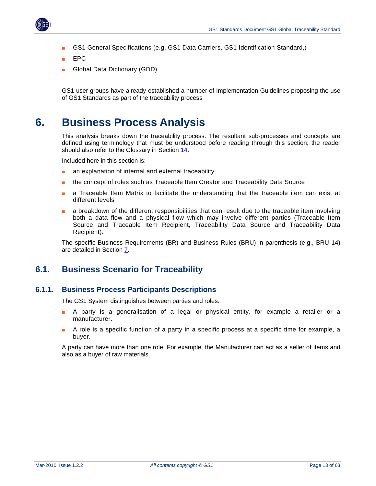

<span id="page-12-0"></span>

- GS1 General Specifications (e.g. GS1 Data Carriers, GS1 Identification Standard,)
- EPC
- Global Data Dictionary (GDD)

GS1 user groups have already established a number of Implementation Guidelines proposing the use of GS1 Standards as part of the traceability process

## <span id="page-12-1"></span>**6. Business Process Analysis**

This analysis breaks down the traceability process. The resultant sub-processes and concepts are defined using terminology that must be understood before reading through this section; the reader should also refer to the Glossary in Section [14](#page-55-1).

Included here in this section is:

- an explanation of internal and external traceability
- the concept of roles such as Traceable Item Creator and Traceability Data Source
- a Traceable Item Matrix to facilitate the understanding that the traceable item can exist at different levels
- a breakdown of the different responsibilities that can result due to the traceable item involving both a data flow and a physical flow which may involve different parties (Traceable Item Source and Traceable Item Recipient, Traceability Data Source and Traceability Data Recipient).

The specific Business Requirements (BR) and Business Rules (BRU) in parenthesis (e.g., BRU 14) are detailed in Section [7](#page-28-1).

## <span id="page-12-2"></span>**6.1. Business Scenario for Traceability**

#### <span id="page-12-3"></span>**6.1.1. Business Process Participants Descriptions**

The GS1 System distinguishes between parties and roles.

- A party is a generalisation of a legal or physical entity, for example a retailer or a manufacturer.
- A role is a specific function of a party in a specific process at a specific time for example, a buyer.

A party can have more than one role. For example, the Manufacturer can act as a seller of items and also as a buyer of raw materials.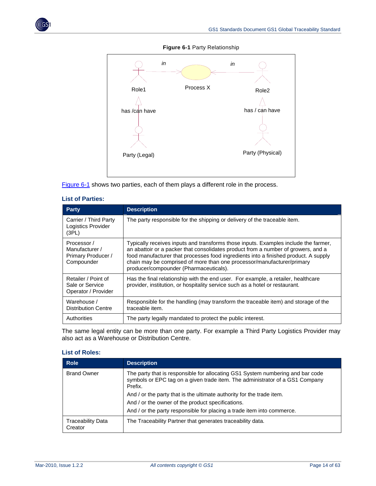<span id="page-13-0"></span>



**Figure 6-1** Party Relationship

[Figure 6-1](#page-13-0) shows two parties, each of them plays a different role in the process.

| vi i ultivo.                                                      |                                                                                                                                                                                                                                                                                                                                                                                     |  |
|-------------------------------------------------------------------|-------------------------------------------------------------------------------------------------------------------------------------------------------------------------------------------------------------------------------------------------------------------------------------------------------------------------------------------------------------------------------------|--|
| <b>Party</b>                                                      | <b>Description</b>                                                                                                                                                                                                                                                                                                                                                                  |  |
| Carrier / Third Party<br>Logistics Provider<br>(3PL)              | The party responsible for the shipping or delivery of the traceable item.                                                                                                                                                                                                                                                                                                           |  |
| Processor /<br>Manufacturer /<br>Primary Producer /<br>Compounder | Typically receives inputs and transforms those inputs. Examples include the farmer,<br>an abattoir or a packer that consolidates product from a number of growers, and a<br>food manufacturer that processes food ingredients into a finished product. A supply<br>chain may be comprised of more than one processor/manufacturer/primary<br>producer/compounder (Pharmaceuticals). |  |
| Retailer / Point of<br>Sale or Service<br>Operator / Provider     | Has the final relationship with the end user. For example, a retailer, healthcare<br>provider, institution, or hospitality service such as a hotel or restaurant.                                                                                                                                                                                                                   |  |

Authorities The party legally mandated to protect the public interest.

traceable item.

#### **List of Parties:**

The same legal entity can be more than one party. For example a Third Party Logistics Provider may also act as a Warehouse or Distribution Centre.

Responsible for the handling (may transform the traceable item) and storage of the

#### **List of Roles:**

Warehouse / Distribution Centre

| <b>Role</b>                         | <b>Description</b>                                                                                                                                                        |
|-------------------------------------|---------------------------------------------------------------------------------------------------------------------------------------------------------------------------|
| <b>Brand Owner</b>                  | The party that is responsible for allocating GS1 System numbering and bar code<br>symbols or EPC tag on a given trade item. The administrator of a GS1 Company<br>Prefix. |
|                                     | And / or the party that is the ultimate authority for the trade item.                                                                                                     |
|                                     | And / or the owner of the product specifications.                                                                                                                         |
|                                     | And / or the party responsible for placing a trade item into commerce.                                                                                                    |
| <b>Traceability Data</b><br>Creator | The Traceability Partner that generates traceability data.                                                                                                                |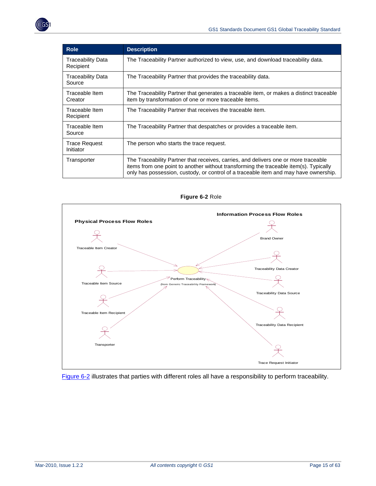| <b>Role</b>                           | <b>Description</b>                                                                                                                                                                                                                                                   |
|---------------------------------------|----------------------------------------------------------------------------------------------------------------------------------------------------------------------------------------------------------------------------------------------------------------------|
| <b>Traceability Data</b><br>Recipient | The Traceability Partner authorized to view, use, and download traceability data.                                                                                                                                                                                    |
| Traceability Data<br>Source           | The Traceability Partner that provides the traceability data.                                                                                                                                                                                                        |
| Traceable Item<br>Creator             | The Traceability Partner that generates a traceable item, or makes a distinct traceable<br>item by transformation of one or more traceable items.                                                                                                                    |
| Traceable Item<br>Recipient           | The Traceability Partner that receives the traceable item.                                                                                                                                                                                                           |
| Traceable Item<br>Source              | The Traceability Partner that despatches or provides a traceable item.                                                                                                                                                                                               |
| <b>Trace Request</b><br>Initiator     | The person who starts the trace request.                                                                                                                                                                                                                             |
| Transporter                           | The Traceability Partner that receives, carries, and delivers one or more traceable<br>items from one point to another without transforming the traceable item(s). Typically<br>only has possession, custody, or control of a traceable item and may have ownership. |

<span id="page-14-0"></span>

**Figure 6-2** Role

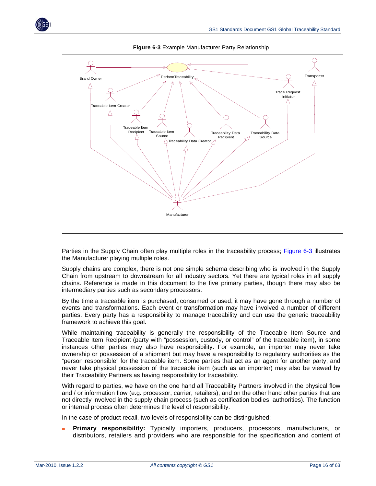<span id="page-15-0"></span>

**Figure 6-3** Example Manufacturer Party Relationship

Parties in the Supply Chain often play multiple roles in the traceability process; [Figure 6-3](#page-15-0) illustrates the Manufacturer playing multiple roles.

Supply chains are complex, there is not one simple schema describing who is involved in the Supply Chain from upstream to downstream for all industry sectors. Yet there are typical roles in all supply chains. Reference is made in this document to the five primary parties, though there may also be intermediary parties such as secondary processors.

By the time a traceable item is purchased, consumed or used, it may have gone through a number of events and transformations. Each event or transformation may have involved a number of different parties. Every party has a responsibility to manage traceability and can use the generic traceability framework to achieve this goal.

While maintaining traceability is generally the responsibility of the Traceable Item Source and Traceable Item Recipient (party with "possession, custody, or control" of the traceable item), in some instances other parties may also have responsibility. For example, an importer may never take ownership or possession of a shipment but may have a responsibility to regulatory authorities as the "person responsible" for the traceable item. Some parties that act as an agent for another party, and never take physical possession of the traceable item (such as an importer) may also be viewed by their Traceability Partners as having responsibility for traceability.

With regard to parties, we have on the one hand all Traceability Partners involved in the physical flow and / or information flow (e.g. processor, carrier, retailers), and on the other hand other parties that are not directly involved in the supply chain process (such as certification bodies, authorities). The function or internal process often determines the level of responsibility.

In the case of product recall, two levels of responsibility can be distinguished:

■ **Primary responsibility:** Typically importers, producers, processors, manufacturers, or distributors, retailers and providers who are responsible for the specification and content of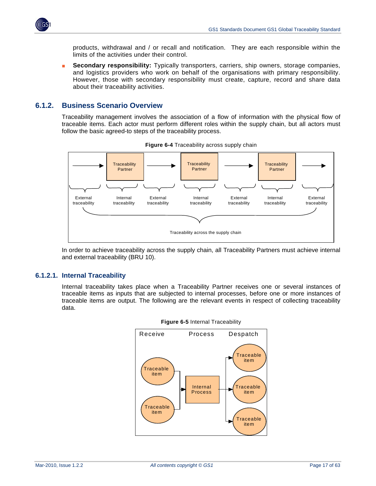<span id="page-16-0"></span>

products, withdrawal and / or recall and notification. They are each responsible within the limits of the activities under their control.

**Secondary responsibility:** Typically transporters, carriers, ship owners, storage companies, and logistics providers who work on behalf of the organisations with primary responsibility. However, those with secondary responsibility must create, capture, record and share data about their traceability activities.

### <span id="page-16-1"></span>**6.1.2. Business Scenario Overview**

Traceability management involves the association of a flow of information with the physical flow of traceable items. Each actor must perform different roles within the supply chain, but all actors must follow the basic agreed-to steps of the traceability process.



**Figure 6-4** Traceability across supply chain

In order to achieve traceability across the supply chain, all Traceability Partners must achieve internal and external traceability (BRU 10).

#### **6.1.2.1. Internal Traceability**

Internal traceability takes place when a Traceability Partner receives one or several instances of traceable items as inputs that are subjected to internal processes, before one or more instances of traceable items are output. The following are the relevant events in respect of collecting traceability data.



**Figure 6-5** Internal Traceability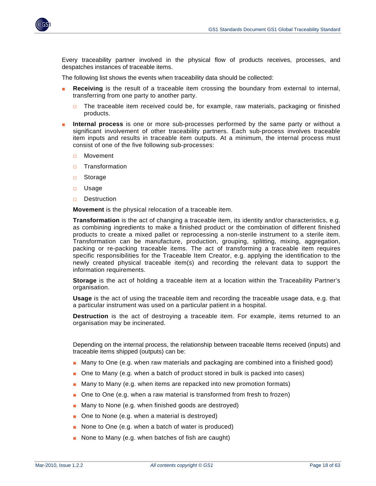

Every traceability partner involved in the physical flow of products receives, processes, and despatches instances of traceable items.

The following list shows the events when traceability data should be collected:

- **Receiving** is the result of a traceable item crossing the boundary from external to internal, transferring from one party to another party.
	- $\Box$  The traceable item received could be, for example, raw materials, packaging or finished products.
- **Internal process** is one or more sub-processes performed by the same party or without a significant involvement of other traceability partners. Each sub-process involves traceable item inputs and results in traceable item outputs. At a minimum, the internal process must consist of one of the five following sub-processes:
	- □ Movement
	- □ Transformation
	- □ Storage
	- □ Usage
	- □ Destruction

**Movement** is the physical relocation of a traceable item.

**Transformation** is the act of changing a traceable item, its identity and/or characteristics, e.g. as combining ingredients to make a finished product or the combination of different finished products to create a mixed pallet or reprocessing a non-sterile instrument to a sterile item. Transformation can be manufacture, production, grouping, splitting, mixing, aggregation, packing or re-packing traceable items. The act of transforming a traceable item requires specific responsibilities for the Traceable Item Creator, e.g. applying the identification to the newly created physical traceable item(s) and recording the relevant data to support the information requirements.

**Storage** is the act of holding a traceable item at a location within the Traceability Partner's organisation.

**Usage** is the act of using the traceable item and recording the traceable usage data, e.g. that a particular instrument was used on a particular patient in a hospital.

**Destruction** is the act of destroying a traceable item. For example, items returned to an organisation may be incinerated.

Depending on the internal process, the relationship between traceable Items received (inputs) and traceable items shipped (outputs) can be:

- Many to One (e.g. when raw materials and packaging are combined into a finished good)
- One to Many (e.g. when a batch of product stored in bulk is packed into cases)
- Many to Many (e.g. when items are repacked into new promotion formats)
- One to One (e.g. when a raw material is transformed from fresh to frozen)
- Many to None (e.g. when finished goods are destroyed)
- One to None (e.g. when a material is destroyed)
- None to One (e.g. when a batch of water is produced)
- None to Many (e.g. when batches of fish are caught)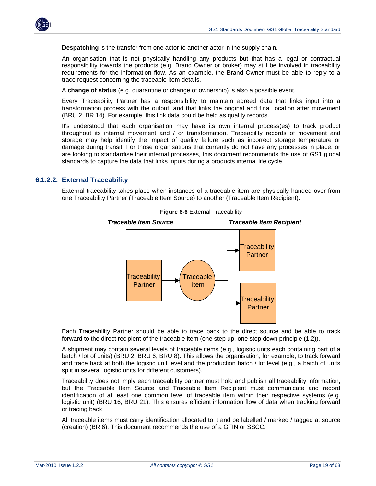

**Despatching** is the transfer from one actor to another actor in the supply chain.

An organisation that is not physically handling any products but that has a legal or contractual responsibility towards the products (e.g. Brand Owner or broker) may still be involved in traceability requirements for the information flow. As an example, the Brand Owner must be able to reply to a trace request concerning the traceable item details.

A **change of status** (e.g. quarantine or change of ownership) is also a possible event.

Every Traceability Partner has a responsibility to maintain agreed data that links input into a transformation process with the output, and that links the original and final location after movement (BRU 2, BR 14). For example, this link data could be held as quality records.

It's understood that each organisation may have its own internal process(es) to track product throughout its internal movement and / or transformation. Traceability records of movement and storage may help identify the impact of quality failure such as incorrect storage temperature or damage during transit. For those organisations that currently do not have any processes in place, or are looking to standardise their internal processes, this document recommends the use of GS1 global standards to capture the data that links inputs during a products internal life cycle.

#### **6.1.2.2. External Traceability**

External traceability takes place when instances of a traceable item are physically handed over from one Traceability Partner (Traceable Item Source) to another (Traceable Item Recipient).



**Figure 6-6** External Traceability

Each Traceability Partner should be able to trace back to the direct source and be able to track forward to the direct recipient of the traceable item (one step up, one step down principle (1.2)).

A shipment may contain several levels of traceable items (e.g., logistic units each containing part of a batch / lot of units) (BRU 2, BRU 6, BRU 8). This allows the organisation, for example, to track forward and trace back at both the logistic unit level and the production batch / lot level (e.g., a batch of units split in several logistic units for different customers).

Traceability does not imply each traceability partner must hold and publish all traceability information, but the Traceable Item Source and Traceable Item Recipient must communicate and record identification of at least one common level of traceable item within their respective systems (e.g. logistic unit) (BRU 16, BRU 21). This ensures efficient information flow of data when tracking forward or tracing back.

All traceable items must carry identification allocated to it and be labelled / marked / tagged at source (creation) (BR 6). This document recommends the use of a GTIN or SSCC.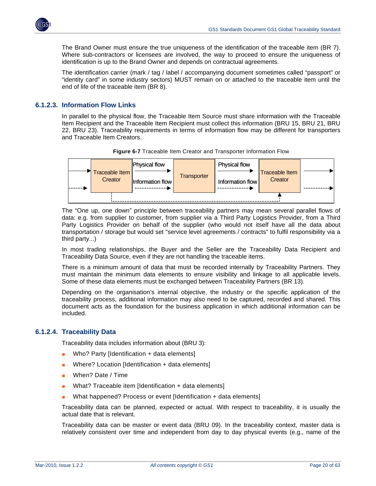

The Brand Owner must ensure the true uniqueness of the identification of the traceable item (BR 7). Where sub-contractors or licensees are involved, the way to proceed to ensure the uniqueness of identification is up to the Brand Owner and depends on contractual agreements.

The identification carrier (mark / tag / label / accompanying document sometimes called "passport" or "identity card" in some industry sectors) MUST remain on or attached to the traceable item until the end of life of the traceable item (BR 8).

#### **6.1.2.3. Information Flow Links**

In parallel to the physical flow, the Traceable Item Source must share information with the Traceable Item Recipient and the Traceable Item Recipient must collect this information (BRU 15, BRU 21, BRU 22, BRU 23). Traceability requirements in terms of information flow may be different for transporters and Traceable Item Creators.



**Figure 6-7** Traceable Item Creator and Transporter Information Flow

The "One up, one down" principle between traceability partners may mean several parallel flows of data: e.g. from supplier to customer, from supplier via a Third Party Logistics Provider, from a Third Party Logistics Provider on behalf of the supplier (who would not itself have all the data about transportation / storage but would set "service level agreements / contracts" to fulfil responsibility via a third party...)

In most trading relationships, the Buyer and the Seller are the Traceability Data Recipient and Traceability Data Source, even if they are not handling the traceable items.

There is a minimum amount of data that must be recorded internally by Traceability Partners. They must maintain the minimum data elements to ensure visibility and linkage to all applicable levels. Some of these data elements must be exchanged between Traceability Partners (BR 13).

Depending on the organisation's internal objective, the industry or the specific application of the traceability process, additional information may also need to be captured, recorded and shared. This document acts as the foundation for the business application in which additional information can be included.

#### **6.1.2.4. Traceability Data**

Traceability data includes information about (BRU 3):

- Who? Party [Identification + data elements]
- Where? Location  $[Identification + data elements]$
- When? Date / Time
- What? Traceable item [Identification + data elements]
- What happened? Process or event [Identification + data elements]

Traceability data can be planned, expected or actual. With respect to traceability, it is usually the actual date that is relevant.

Traceability data can be master or event data (BRU 09). In the traceability context, master data is relatively consistent over time and independent from day to day physical events (e.g., name of the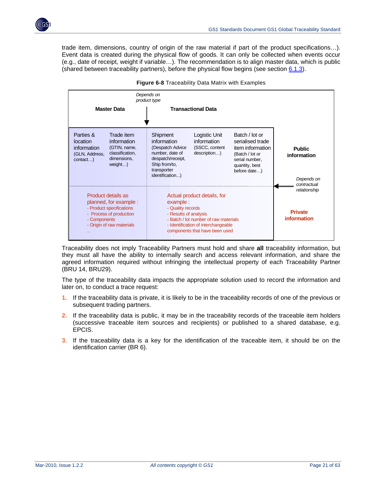

trade item, dimensions, country of origin of the raw material if part of the product specifications…). Event data is created during the physical flow of goods. It can only be collected when events occur (e.g., date of receipt, weight if variable…). The recommendation is to align master data, which is public (shared between traceability partners), before the physical flow begins (see section [6.1.3\)](#page-25-1).





Traceability does not imply Traceability Partners must hold and share **all** traceability information, but they must all have the ability to internally search and access relevant information, and share the agreed information required without infringing the intellectual property of each Traceability Partner (BRU 14, BRU29).

The type of the traceability data impacts the appropriate solution used to record the information and later on, to conduct a trace request:

- **1.** If the traceability data is private, it is likely to be in the traceability records of one of the previous or subsequent trading partners.
- **2.** If the traceability data is public, it may be in the traceability records of the traceable item holders (successive traceable item sources and recipients) or published to a shared database, e.g. EPCIS.
- **3.** If the traceability data is a key for the identification of the traceable item, it should be on the identification carrier (BR 6).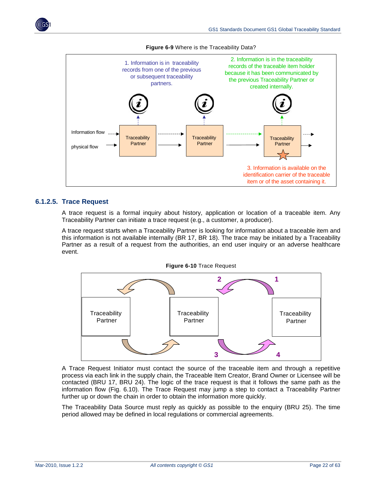



**Figure 6-9** Where is the Traceability Data?

#### **6.1.2.5. Trace Request**

A trace request is a formal inquiry about history, application or location of a traceable item. Any Traceability Partner can initiate a trace request (e.g., a customer, a producer).

A trace request starts when a Traceability Partner is looking for information about a traceable item and this information is not available internally (BR 17, BR 18). The trace may be initiated by a Traceability Partner as a result of a request from the authorities, an end user inquiry or an adverse healthcare event.



A Trace Request Initiator must contact the source of the traceable item and through a repetitive process via each link in the supply chain, the Traceable Item Creator, Brand Owner or Licensee will be contacted (BRU 17, BRU 24). The logic of the trace request is that it follows the same path as the information flow (Fig. 6.10). The Trace Request may jump a step to contact a Traceability Partner further up or down the chain in order to obtain the information more quickly.

The Traceability Data Source must reply as quickly as possible to the enquiry (BRU 25). The time period allowed may be defined in local regulations or commercial agreements.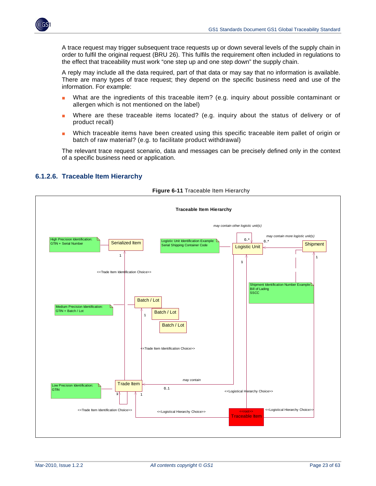

A trace request may trigger subsequent trace requests up or down several levels of the supply chain in order to fulfil the original request (BRU 26). This fulfils the requirement often included in regulations to the effect that traceability must work "one step up and one step down" the supply chain.

A reply may include all the data required, part of that data or may say that no information is available. There are many types of trace request; they depend on the specific business need and use of the information. For example:

- What are the ingredients of this traceable item? (e.g. inquiry about possible contaminant or allergen which is not mentioned on the label)
- Where are these traceable items located? (e.g. inquiry about the status of delivery or of product recall)
- Which traceable items have been created using this specific traceable item pallet of origin or batch of raw material? (e.g. to facilitate product withdrawal)

The relevant trace request scenario, data and messages can be precisely defined only in the context of a specific business need or application.

<span id="page-22-0"></span>

#### <span id="page-22-1"></span>**6.1.2.6. Traceable Item Hierarchy**

**Figure 6-11** Traceable Item Hierarchy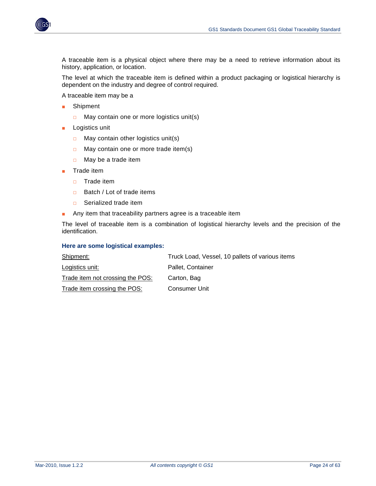

A traceable item is a physical object where there may be a need to retrieve information about its history, application, or location.

The level at which the traceable item is defined within a product packaging or logistical hierarchy is dependent on the industry and degree of control required.

A traceable item may be a

- Shipment
	- $\Box$  May contain one or more logistics unit(s)
- Logistics unit
	- □ May contain other logistics unit(s)
	- □ May contain one or more trade item(s)
	- $\Box$  May be a trade item
- Trade item
	- □ Trade item
	- □ Batch / Lot of trade items
	- □ Serialized trade item
- Any item that traceability partners agree is a traceable item

The level of traceable item is a combination of logistical hierarchy levels and the precision of the identification.

#### **Here are some logistical examples:**

| Shipment:                        | Truck Load, Vessel, 10 pallets of various items |
|----------------------------------|-------------------------------------------------|
| Logistics unit:                  | Pallet, Container                               |
| Trade item not crossing the POS: | Carton, Bag                                     |
| Trade item crossing the POS:     | Consumer Unit                                   |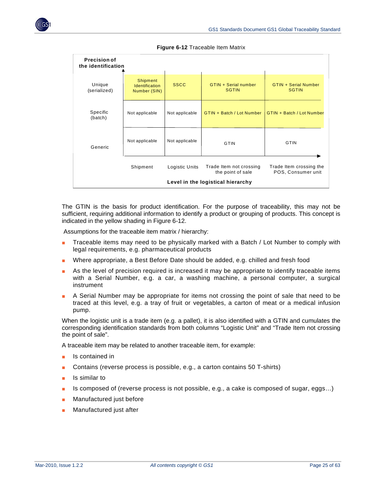<span id="page-24-0"></span>

| <b>Precision of</b><br>the identification |                                                          |                |                                              |                                               |  |  |  |
|-------------------------------------------|----------------------------------------------------------|----------------|----------------------------------------------|-----------------------------------------------|--|--|--|
| Unique<br>(serialized)                    | <b>Shipment</b><br><b>Identification</b><br>Number (SIN) | <b>SSCC</b>    | GTIN + Serial number<br><b>SGTIN</b>         | <b>GTIN + Serial Number</b><br><b>SGTIN</b>   |  |  |  |
| Specific<br>(batch)                       | Not applicable                                           | Not applicable | GTIN + Batch / Lot Number                    | GTIN + Batch / Lot Number                     |  |  |  |
| Generic                                   | Not applicable                                           | Not applicable | <b>GTIN</b>                                  | <b>GTIN</b>                                   |  |  |  |
|                                           | Shipment                                                 | Logistic Units | Trade Item not crossing<br>the point of sale | Trade Item crossing the<br>POS, Consumer unit |  |  |  |
|                                           | Level in the logistical hierarchy                        |                |                                              |                                               |  |  |  |

**Figure 6-12** Traceable Item Matrix

The GTIN is the basis for product identification. For the purpose of traceability, this may not be sufficient, requiring additional information to identify a product or grouping of products. This concept is indicated in the yellow shading in Figure 6-12.

Assumptions for the traceable item matrix / hierarchy:

- Traceable items may need to be physically marked with a Batch / Lot Number to comply with legal requirements, e.g. pharmaceutical products
- Where appropriate, a Best Before Date should be added, e.g. chilled and fresh food
- As the level of precision required is increased it may be appropriate to identify traceable items with a Serial Number, e.g. a car, a washing machine, a personal computer, a surgical instrument
- A Serial Number may be appropriate for items not crossing the point of sale that need to be traced at this level, e.g. a tray of fruit or vegetables, a carton of meat or a medical infusion pump.

When the logistic unit is a trade item (e.g. a pallet), it is also identified with a GTIN and cumulates the corresponding identification standards from both columns "Logistic Unit" and "Trade Item not crossing the point of sale".

A traceable item may be related to another traceable item, for example:

- Is contained in
- Contains (reverse process is possible, e.g., a carton contains 50 T-shirts)
- Is similar to
- Is composed of (reverse process is not possible, e.g., a cake is composed of sugar, eggs...)
- Manufactured just before
- Manufactured just after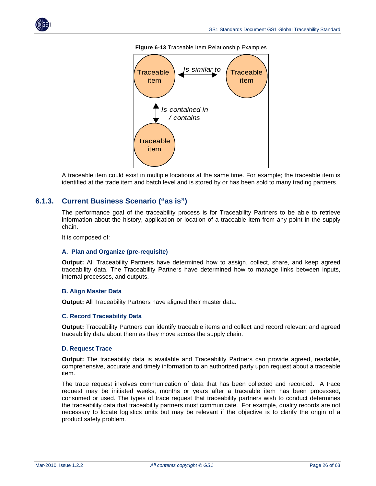<span id="page-25-0"></span>



**Figure 6-13** Traceable Item Relationship Examples

A traceable item could exist in multiple locations at the same time. For example; the traceable item is identified at the trade item and batch level and is stored by or has been sold to many trading partners.

#### <span id="page-25-1"></span>**6.1.3. Current Business Scenario ("as is")**

The performance goal of the traceability process is for Traceability Partners to be able to retrieve information about the history, application or location of a traceable item from any point in the supply chain.

It is composed of:

#### **A. Plan and Organize (pre-requisite)**

**Output:** All Traceability Partners have determined how to assign, collect, share, and keep agreed traceability data. The Traceability Partners have determined how to manage links between inputs, internal processes, and outputs.

#### **B. Align Master Data**

**Output:** All Traceability Partners have aligned their master data.

#### **C. Record Traceability Data**

**Output:** Traceability Partners can identify traceable items and collect and record relevant and agreed traceability data about them as they move across the supply chain.

#### **D. Request Trace**

**Output:** The traceability data is available and Traceability Partners can provide agreed, readable, comprehensive, accurate and timely information to an authorized party upon request about a traceable item.

The trace request involves communication of data that has been collected and recorded. A trace request may be initiated weeks, months or years after a traceable item has been processed, consumed or used. The types of trace request that traceability partners wish to conduct determines the traceability data that traceability partners must communicate. For example, quality records are not necessary to locate logistics units but may be relevant if the objective is to clarify the origin of a product safety problem.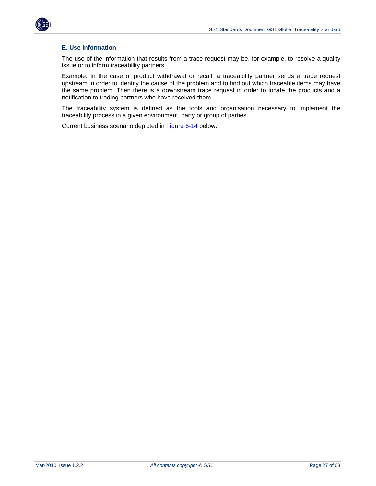



#### **E. Use information**

The use of the information that results from a trace request may be, for example, to resolve a quality issue or to inform traceability partners.

Example: In the case of product withdrawal or recall, a traceability partner sends a trace request upstream in order to identify the cause of the problem and to find out which traceable items may have the same problem. Then there is a downstream trace request in order to locate the products and a notification to trading partners who have received them.

The traceability system is defined as the tools and organisation necessary to implement the traceability process in a given environment, party or group of parties.

Current business scenario depicted in [Figure 6-14](#page-27-0) below.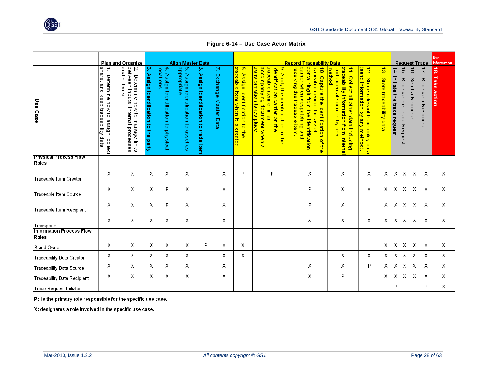

**Figure 6-14 – Use Case Actor Matrix** 

|                                                               |                                                                                | Plan and Organize                                                                             | <b>Align Master Data</b>                                                    |                                                                    |                                                     |                                             |                            | <b>Record Traceability Data</b>                                      |                                                                                                                                                                                |                                                                                                                                                                                           |                                                                                                                                            |                                                                           |                                          |                                   | Use<br><b>Request Trace</b>                              |                             |                                            | Information           |
|---------------------------------------------------------------|--------------------------------------------------------------------------------|-----------------------------------------------------------------------------------------------|-----------------------------------------------------------------------------|--------------------------------------------------------------------|-----------------------------------------------------|---------------------------------------------|----------------------------|----------------------------------------------------------------------|--------------------------------------------------------------------------------------------------------------------------------------------------------------------------------|-------------------------------------------------------------------------------------------------------------------------------------------------------------------------------------------|--------------------------------------------------------------------------------------------------------------------------------------------|---------------------------------------------------------------------------|------------------------------------------|-----------------------------------|----------------------------------------------------------|-----------------------------|--------------------------------------------|-----------------------|
| Use Case                                                      | share,<br>Determine how to<br>and keep traceability data<br>assign,<br>collect | and outputs<br>between inputs,<br>Ņ<br>Determine<br>how to manage links<br>internal processes | بە<br>Assign identification<br>$\overline{\circ}$<br>$\frac{1}{2}$<br>party | locations<br>$\rightarrow$<br>Assign identification to<br>physical | dipropriate<br>Assign identification to<br>asset as | ၜ<br>Assign identification to<br>trade item | N,<br>Exchange Master Data | 8. Assign Identification to the<br>traceable item when it is created | transformation takes place<br>accompanying<br>traceable<br>identification carrier on the<br>9. Apply the identification to the<br><b>item</b><br>or in<br>document when a<br>g | traceable item or the<br>receiving the traceable item<br>carrier when despatching and<br>containingit from the<br>10 Coptrine the identification of the<br><b>identification</b><br>asset | and external sources by any<br><b>method</b><br>traceability information from interna<br>$\frac{1}{2}$<br>Collect all other data including | 12. Share relevant traceability data<br>(send information by any method). | $\frac{1}{3}$<br>Store traceability data | 14.<br>Initiate the trace request | $\overrightarrow{G}$<br>Receive<br>급<br>Trace<br>Request | $\vec{e}$<br>Send a Reponse | $\overrightarrow{L}$<br>Receive a Response | ్లే<br>Take<br>action |
| <b>Physical Process Flow</b><br><b>Roles</b>                  |                                                                                |                                                                                               |                                                                             |                                                                    |                                                     |                                             |                            |                                                                      |                                                                                                                                                                                |                                                                                                                                                                                           |                                                                                                                                            |                                                                           |                                          |                                   |                                                          |                             |                                            |                       |
| Traceable Item Creator                                        | X                                                                              | X                                                                                             | X                                                                           | Χ                                                                  | X                                                   |                                             | X                          | P                                                                    | P                                                                                                                                                                              | Χ                                                                                                                                                                                         | Χ                                                                                                                                          | X                                                                         | Х                                        | Χ                                 | Χ                                                        | Χ                           | Χ                                          | Χ                     |
| Traceable Item Source                                         | Х                                                                              | Χ                                                                                             | Χ                                                                           | P                                                                  | Χ                                                   |                                             | Х                          |                                                                      |                                                                                                                                                                                | P                                                                                                                                                                                         | Х                                                                                                                                          | Χ                                                                         | Х                                        | χ                                 | Χ                                                        | Х                           | Х                                          | Х                     |
| Traceable Item Recipient                                      | Χ                                                                              | Χ                                                                                             | Χ                                                                           | P                                                                  | Χ                                                   |                                             | Χ                          |                                                                      |                                                                                                                                                                                | P                                                                                                                                                                                         | Χ                                                                                                                                          |                                                                           | X                                        | Χ                                 | Χ                                                        | Χ                           | Χ                                          | Χ                     |
| Transporter                                                   | Χ                                                                              | Χ                                                                                             | Χ                                                                           | Χ                                                                  | Χ                                                   |                                             | Χ                          |                                                                      |                                                                                                                                                                                | Χ                                                                                                                                                                                         | Χ                                                                                                                                          | X                                                                         | Χ                                        | Χ                                 | Χ                                                        | Χ                           | X                                          | Χ                     |
| <b>Information Process Flow</b><br>Roles                      |                                                                                |                                                                                               |                                                                             |                                                                    |                                                     |                                             |                            |                                                                      |                                                                                                                                                                                |                                                                                                                                                                                           |                                                                                                                                            |                                                                           |                                          |                                   |                                                          |                             |                                            |                       |
| <b>Brand Owner</b>                                            | χ                                                                              | χ                                                                                             | Х                                                                           | Χ                                                                  | X                                                   | P                                           | Χ                          | Χ                                                                    |                                                                                                                                                                                |                                                                                                                                                                                           |                                                                                                                                            |                                                                           | Χ                                        | χ                                 | Χ                                                        | Χ                           | χ                                          | X                     |
| <b>Traceability Data Creator</b>                              | Χ                                                                              | Х                                                                                             | X                                                                           | Χ                                                                  | X                                                   |                                             | Χ                          | X                                                                    |                                                                                                                                                                                |                                                                                                                                                                                           | X                                                                                                                                          | Χ                                                                         | Χ                                        | Х                                 | Χ                                                        | Х                           | X                                          | X                     |
| <b>Traceability Data Source</b>                               | Χ                                                                              | Χ                                                                                             | Χ                                                                           | Χ                                                                  | Χ                                                   |                                             | Χ                          |                                                                      |                                                                                                                                                                                | X                                                                                                                                                                                         | Χ                                                                                                                                          | P                                                                         | Χ                                        | χ                                 | Χ                                                        | Χ                           | Χ                                          | X                     |
| <b>Traceability Data Recipient</b>                            | Х                                                                              | Х                                                                                             | Х                                                                           | χ                                                                  | Х                                                   |                                             | χ                          |                                                                      |                                                                                                                                                                                | χ                                                                                                                                                                                         | P                                                                                                                                          |                                                                           | χ                                        | Χ                                 | χ                                                        | χ                           | χ                                          | Х                     |
| <b>Trace Request Initiator</b>                                |                                                                                |                                                                                               |                                                                             |                                                                    |                                                     |                                             |                            |                                                                      |                                                                                                                                                                                |                                                                                                                                                                                           |                                                                                                                                            |                                                                           |                                          | P                                 |                                                          |                             | P                                          | Χ                     |
| P: is the primary role responsible for the specific use case. |                                                                                |                                                                                               |                                                                             |                                                                    |                                                     |                                             |                            |                                                                      |                                                                                                                                                                                |                                                                                                                                                                                           |                                                                                                                                            |                                                                           |                                          |                                   |                                                          |                             |                                            |                       |

<span id="page-27-0"></span>X: designates a role involved in the specific use case.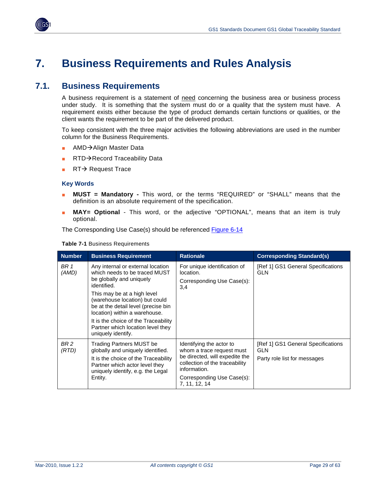

<span id="page-28-0"></span>

## <span id="page-28-1"></span>**7. Business Requirements and Rules Analysis**

## <span id="page-28-2"></span>**7.1. Business Requirements**

A business requirement is a statement of need concerning the business area or business process under study. It is something that the system must do or a quality that the system must have. A requirement exists either because the type of product demands certain functions or qualities, or the client wants the requirement to be part of the delivered product.

To keep consistent with the three major activities the following abbreviations are used in the number column for the Business Requirements.

- AMD→Align Master Data
- $RTD \rightarrow$  Record Traceability Data
- $RT \rightarrow$  Request Trace

#### **Key Words**

- **MUST = Mandatory -** This word, or the terms "REQUIRED" or "SHALL" means that the definition is an absolute requirement of the specification.
- **MAY= Optional** This word, or the adjective "OPTIONAL", means that an item is truly optional.

The Corresponding Use Case(s) should be referenced [Figure 6-14](#page-27-0)

| <b>Number</b> | <b>Business Requirement</b>                                                                                                                                                                                                                                                                                                                               | <b>Rationale</b>                                                                                                                                                                         | <b>Corresponding Standard(s)</b>                                                 |
|---------------|-----------------------------------------------------------------------------------------------------------------------------------------------------------------------------------------------------------------------------------------------------------------------------------------------------------------------------------------------------------|------------------------------------------------------------------------------------------------------------------------------------------------------------------------------------------|----------------------------------------------------------------------------------|
| BR 1<br>(AMD) | Any internal or external location<br>which needs to be traced MUST<br>be globally and uniquely<br>identified.<br>This may be at a high level<br>(warehouse location) but could<br>be at the detail level (precise bin<br>location) within a warehouse.<br>It is the choice of the Traceability<br>Partner which location level they<br>uniquely identify. | For unique identification of<br>location.<br>Corresponding Use Case(s):<br>3,4                                                                                                           | [Ref 1] GS1 General Specifications<br><b>GLN</b>                                 |
| BR 2<br>(RTD) | Trading Partners MUST be<br>globally and uniquely identified.<br>It is the choice of the Traceability<br>Partner which actor level they<br>uniquely identify, e.g. the Legal<br>Entity.                                                                                                                                                                   | Identifying the actor to<br>whom a trace request must<br>be directed, will expedite the<br>collection of the traceability<br>information.<br>Corresponding Use Case(s):<br>7, 11, 12, 14 | [Ref 1] GS1 General Specifications<br><b>GLN</b><br>Party role list for messages |

**Table 7-1** Business Requirements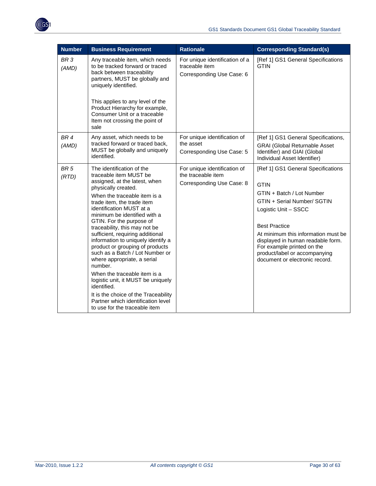

| <b>Number</b>            | <b>Business Requirement</b>                                                                                                                                                                                                                                                                                                                                                                                                                                                                                                                                                                                                                                                                      | <b>Rationale</b>                                                                | <b>Corresponding Standard(s)</b>                                                                                                                                                                                                                                                                                                           |
|--------------------------|--------------------------------------------------------------------------------------------------------------------------------------------------------------------------------------------------------------------------------------------------------------------------------------------------------------------------------------------------------------------------------------------------------------------------------------------------------------------------------------------------------------------------------------------------------------------------------------------------------------------------------------------------------------------------------------------------|---------------------------------------------------------------------------------|--------------------------------------------------------------------------------------------------------------------------------------------------------------------------------------------------------------------------------------------------------------------------------------------------------------------------------------------|
| BR <sub>3</sub><br>(AMD) | Any traceable item, which needs<br>to be tracked forward or traced<br>back between traceability<br>partners, MUST be globally and<br>uniquely identified.<br>This applies to any level of the<br>Product Hierarchy for example,<br>Consumer Unit or a traceable<br>Item not crossing the point of<br>sale                                                                                                                                                                                                                                                                                                                                                                                        | For unique identification of a<br>traceable item<br>Corresponding Use Case: 6   | [Ref 1] GS1 General Specifications<br><b>GTIN</b>                                                                                                                                                                                                                                                                                          |
| BR <sub>4</sub><br>(AMD) | Any asset, which needs to be<br>tracked forward or traced back,<br>MUST be globally and uniquely<br>identified.                                                                                                                                                                                                                                                                                                                                                                                                                                                                                                                                                                                  | For unique identification of<br>the asset<br>Corresponding Use Case: 5          | [Ref 1] GS1 General Specifications,<br><b>GRAI (Global Returnable Asset</b><br>Identifier) and GIAI (Global<br>Individual Asset Identifier)                                                                                                                                                                                                |
| BR <sub>5</sub><br>(RTD) | The identification of the<br>traceable item MUST be<br>assigned, at the latest, when<br>physically created.<br>When the traceable item is a<br>trade item, the trade item<br>identification MUST at a<br>minimum be identified with a<br>GTIN. For the purpose of<br>traceability, this may not be<br>sufficient, requiring additional<br>information to uniquely identify a<br>product or grouping of products<br>such as a Batch / Lot Number or<br>where appropriate, a serial<br>number.<br>When the traceable item is a<br>logistic unit, it MUST be uniquely<br>identified.<br>It is the choice of the Traceability<br>Partner which identification level<br>to use for the traceable item | For unique identification of<br>the traceable item<br>Corresponding Use Case: 8 | [Ref 1] GS1 General Specifications<br><b>GTIN</b><br>GTIN + Batch / Lot Number<br>GTIN + Serial Number/ SGTIN<br>Logistic Unit - SSCC<br><b>Best Practice</b><br>At minimum this information must be<br>displayed in human readable form.<br>For example printed on the<br>product/label or accompanying<br>document or electronic record. |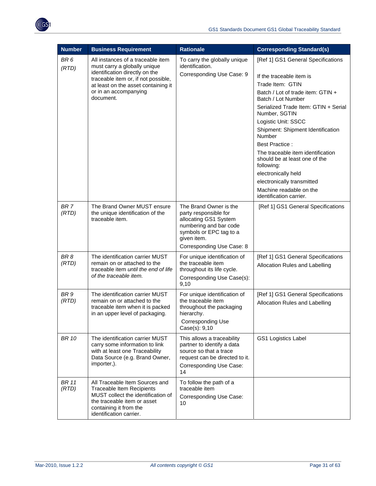

| <b>Number</b>            | <b>Business Requirement</b>                                                                                                                                                                                             | <b>Rationale</b>                                                                                                                                                          | <b>Corresponding Standard(s)</b>                                                                                                                                                                                                                                                                                                                                                                                                                                                                     |
|--------------------------|-------------------------------------------------------------------------------------------------------------------------------------------------------------------------------------------------------------------------|---------------------------------------------------------------------------------------------------------------------------------------------------------------------------|------------------------------------------------------------------------------------------------------------------------------------------------------------------------------------------------------------------------------------------------------------------------------------------------------------------------------------------------------------------------------------------------------------------------------------------------------------------------------------------------------|
| BR <sub>6</sub><br>(RTD) | All instances of a traceable item<br>must carry a globally unique<br>identification directly on the<br>traceable item or, if not possible,<br>at least on the asset containing it<br>or in an accompanying<br>document. | To carry the globally unique<br>identification.<br>Corresponding Use Case: 9                                                                                              | [Ref 1] GS1 General Specifications<br>If the traceable item is<br>Trade Item: GTIN<br>Batch / Lot of trade item: GTIN +<br>Batch / Lot Number<br>Serialized Trade Item: GTIN + Serial<br>Number, SGTIN<br>Logistic Unit: SSCC<br>Shipment: Shipment Identification<br>Number<br><b>Best Practice:</b><br>The traceable item identification<br>should be at least one of the<br>following:<br>electronically held<br>electronically transmitted<br>Machine readable on the<br>identification carrier. |
| BR <sub>7</sub><br>(RTD) | The Brand Owner MUST ensure<br>the unique identification of the<br>traceable item.                                                                                                                                      | The Brand Owner is the<br>party responsible for<br>allocating GS1 System<br>numbering and bar code<br>symbols or EPC tag to a<br>given item.<br>Corresponding Use Case: 8 | [Ref 1] GS1 General Specifications                                                                                                                                                                                                                                                                                                                                                                                                                                                                   |
| BR <sub>8</sub><br>(RTD) | The identification carrier MUST<br>remain on or attached to the<br>traceable item until the end of life<br>of the traceable item.                                                                                       | For unique identification of<br>the traceable item<br>throughout its life cycle.<br>Corresponding Use Case(s):<br>9,10                                                    | [Ref 1] GS1 General Specifications<br>Allocation Rules and Labelling                                                                                                                                                                                                                                                                                                                                                                                                                                 |
| BR <sub>9</sub><br>(RTD) | The identification carrier MUST<br>remain on or attached to the<br>traceable item when it is packed<br>in an upper level of packaging.                                                                                  | For unique identification of<br>the traceable item<br>throughout the packaging<br>hierarchy.<br>Corresponding Use<br>Case(s): 9,10                                        | [Ref 1] GS1 General Specifications<br>Allocation Rules and Labelling                                                                                                                                                                                                                                                                                                                                                                                                                                 |
| <b>BR 10</b>             | The identification carrier MUST<br>carry some information to link<br>with at least one Traceability<br>Data Source (e.g. Brand Owner,<br>importer,).                                                                    | This allows a traceability<br>partner to identify a data<br>source so that a trace<br>request can be directed to it.<br><b>Corresponding Use Case:</b><br>14              | GS1 Logistics Label                                                                                                                                                                                                                                                                                                                                                                                                                                                                                  |
| <b>BR</b> 11<br>(RTD)    | All Traceable Item Sources and<br><b>Traceable Item Recipients</b><br>MUST collect the identification of<br>the traceable item or asset<br>containing it from the<br>identification carrier.                            | To follow the path of a<br>traceable item<br>Corresponding Use Case:<br>10                                                                                                |                                                                                                                                                                                                                                                                                                                                                                                                                                                                                                      |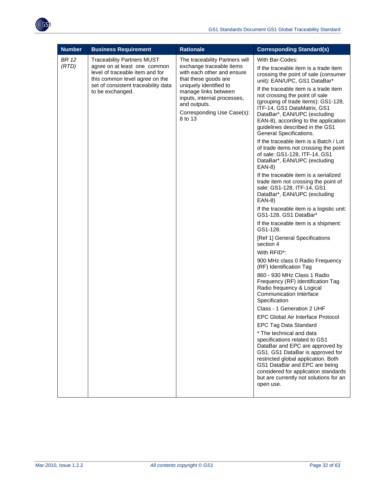

| <b>Number</b>  | <b>Business Requirement</b>                                                                                                                                                                       | <b>Rationale</b>                                                                                                                                                                                                                                           | <b>Corresponding Standard(s)</b>                                                                                                                                                                                                                                                                                                                                                                                                                                                                                                                                                                                                                                                                                                                                                                                                                                                                                                                                                                                                                                                                                                                                                                                                                                                 |
|----------------|---------------------------------------------------------------------------------------------------------------------------------------------------------------------------------------------------|------------------------------------------------------------------------------------------------------------------------------------------------------------------------------------------------------------------------------------------------------------|----------------------------------------------------------------------------------------------------------------------------------------------------------------------------------------------------------------------------------------------------------------------------------------------------------------------------------------------------------------------------------------------------------------------------------------------------------------------------------------------------------------------------------------------------------------------------------------------------------------------------------------------------------------------------------------------------------------------------------------------------------------------------------------------------------------------------------------------------------------------------------------------------------------------------------------------------------------------------------------------------------------------------------------------------------------------------------------------------------------------------------------------------------------------------------------------------------------------------------------------------------------------------------|
| BR 12<br>(RTD) | <b>Traceability Partners MUST</b><br>agree on at least one common<br>level of traceable item and for<br>this common level agree on the<br>set of consistent traceability data<br>to be exchanged. | The traceability Partners will<br>exchange traceable items<br>with each other and ensure<br>that these goods are<br>uniquely identified to<br>manage links between<br>inputs, internal processes,<br>and outputs.<br>Corresponding Use Case(s):<br>8 to 13 | With Bar-Codes:<br>If the traceable item is a trade item<br>crossing the point of sale (consumer<br>unit): EAN/UPC, GS1 DataBar*<br>If the traceable item is a trade item<br>not crossing the point of sale<br>(grouping of trade items): GS1-128,<br>ITF-14, GS1 DataMatrix, GS1<br>DataBar*, EAN/UPC (excluding<br>EAN-8), according to the application<br>guidelines described in the GS1<br>General Specifications.<br>If the traceable item is a Batch / Lot<br>of trade items not crossing the point<br>of sale: GS1-128, ITF-14, GS1<br>DataBar*, EAN/UPC (excluding<br>EAN-8)<br>If the traceable item is a serialized<br>trade item not crossing the point of<br>sale: GS1-128, ITF-14, GS1<br>DataBar*, EAN/UPC (excluding<br>EAN-8)<br>If the traceable item is a logistic unit:<br>GS1-128, GS1 DataBar*<br>If the traceable item is a shipment:<br>GS1-128.<br>[Ref 1] General Specifications<br>section 4<br>With RFID*:<br>900 MHz class 0 Radio Frequency<br>(RF) Identification Tag<br>860 - 930 MHz Class 1 Radio<br>Frequency (RF) Identification Tag<br>Radio frequency & Logical<br>Communication Interface<br>Specification<br>Class - 1 Generation 2 UHF<br>EPC Global Air Interface Protocol<br><b>EPC Tag Data Standard</b><br>* The technical and data |
|                |                                                                                                                                                                                                   |                                                                                                                                                                                                                                                            |                                                                                                                                                                                                                                                                                                                                                                                                                                                                                                                                                                                                                                                                                                                                                                                                                                                                                                                                                                                                                                                                                                                                                                                                                                                                                  |
|                |                                                                                                                                                                                                   |                                                                                                                                                                                                                                                            | specifications related to GS1<br>DataBar and EPC are approved by<br>GS1. GS1 DataBar is approved for<br>restricted global application. Both<br>GS1 DataBar and EPC are being<br>considered for application standards<br>but are currently not solutions for an<br>open use.                                                                                                                                                                                                                                                                                                                                                                                                                                                                                                                                                                                                                                                                                                                                                                                                                                                                                                                                                                                                      |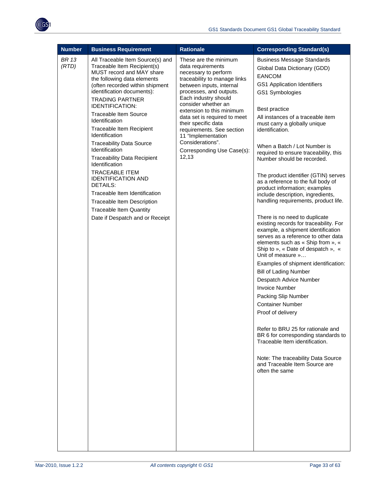

| <b>Number</b>  | <b>Business Requirement</b>                                                                                                                                                                                                                                                                                                                                                                                                                                                                                                                                                                                                                                                | <b>Rationale</b>                                                                                                                                                                                                                                                                                                                                                                                           | <b>Corresponding Standard(s)</b>                                                                                                                                                                                                                                                                                                                                                                                                                                                                                                                                                                                                                                                                                                                                                                                                                                                                                                                                                                                                                                                                                                                                                                                  |
|----------------|----------------------------------------------------------------------------------------------------------------------------------------------------------------------------------------------------------------------------------------------------------------------------------------------------------------------------------------------------------------------------------------------------------------------------------------------------------------------------------------------------------------------------------------------------------------------------------------------------------------------------------------------------------------------------|------------------------------------------------------------------------------------------------------------------------------------------------------------------------------------------------------------------------------------------------------------------------------------------------------------------------------------------------------------------------------------------------------------|-------------------------------------------------------------------------------------------------------------------------------------------------------------------------------------------------------------------------------------------------------------------------------------------------------------------------------------------------------------------------------------------------------------------------------------------------------------------------------------------------------------------------------------------------------------------------------------------------------------------------------------------------------------------------------------------------------------------------------------------------------------------------------------------------------------------------------------------------------------------------------------------------------------------------------------------------------------------------------------------------------------------------------------------------------------------------------------------------------------------------------------------------------------------------------------------------------------------|
| BR 13<br>(RTD) | All Traceable Item Source(s) and<br>Traceable Item Recipient(s)<br>MUST record and MAY share<br>the following data elements<br>(often recorded within shipment<br>identification documents):<br><b>TRADING PARTNER</b><br><b>IDENTIFICATION:</b><br><b>Traceable Item Source</b><br>Identification<br>Traceable Item Recipient<br>Identification<br><b>Traceability Data Source</b><br>Identification<br><b>Traceability Data Recipient</b><br>Identification<br><b>TRACEABLE ITEM</b><br><b>IDENTIFICATION AND</b><br><b>DETAILS:</b><br>Traceable Item Identification<br>Traceable Item Description<br><b>Traceable Item Quantity</b><br>Date if Despatch and or Receipt | These are the minimum<br>data requirements<br>necessary to perform<br>traceability to manage links<br>between inputs, internal<br>processes, and outputs.<br>Each industry should<br>consider whether an<br>extension to this minimum<br>data set is required to meet<br>their specific data<br>requirements. See section<br>11 "Implementation<br>Considerations".<br>Corresponding Use Case(s):<br>12,13 | <b>Business Message Standards</b><br>Global Data Dictionary (GDD)<br><b>EANCOM</b><br>GS1 Application Identifiers<br>GS1 Symbologies<br>Best practice<br>All instances of a traceable item<br>must carry a globally unique<br>identification.<br>When a Batch / Lot Number is<br>required to ensure traceability, this<br>Number should be recorded.<br>The product identifier (GTIN) serves<br>as a reference to the full body of<br>product information; examples<br>include description, ingredients,<br>handling requirements, product life.<br>There is no need to duplicate<br>existing records for traceability. For<br>example, a shipment identification<br>serves as a reference to other data<br>elements such as « Ship from », «<br>Ship to », « Date of despatch », «<br>Unit of measure »<br>Examples of shipment identification:<br><b>Bill of Lading Number</b><br>Despatch Advice Number<br><b>Invoice Number</b><br>Packing Slip Number<br><b>Container Number</b><br>Proof of delivery<br>Refer to BRU 25 for rationale and<br>BR 6 for corresponding standards to<br>Traceable Item identification.<br>Note: The traceability Data Source<br>and Traceable Item Source are<br>often the same |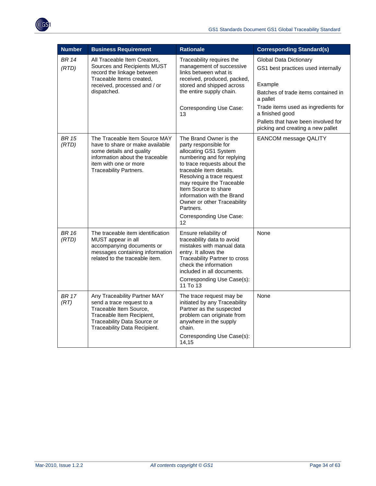

| <b>Number</b>         | <b>Business Requirement</b>                                                                                                                                                               | <b>Rationale</b>                                                                                                                                                                                                                                                                                                                                              | <b>Corresponding Standard(s)</b>                                                                                                                                                                                                                                        |
|-----------------------|-------------------------------------------------------------------------------------------------------------------------------------------------------------------------------------------|---------------------------------------------------------------------------------------------------------------------------------------------------------------------------------------------------------------------------------------------------------------------------------------------------------------------------------------------------------------|-------------------------------------------------------------------------------------------------------------------------------------------------------------------------------------------------------------------------------------------------------------------------|
| <b>BR 14</b><br>(RTD) | All Traceable Item Creators,<br>Sources and Recipients MUST<br>record the linkage between<br>Traceable Items created,<br>received, processed and / or<br>dispatched.                      | Traceability requires the<br>management of successive<br>links between what is<br>received, produced, packed,<br>stored and shipped across<br>the entire supply chain.<br>Corresponding Use Case:<br>13                                                                                                                                                       | <b>Global Data Dictionary</b><br>GS1 best practices used internally<br>Example<br>Batches of trade items contained in<br>a pallet<br>Trade items used as ingredients for<br>a finished good<br>Pallets that have been involved for<br>picking and creating a new pallet |
| <b>BR 15</b><br>(RTD) | The Traceable Item Source MAY<br>have to share or make available<br>some details and quality<br>information about the traceable<br>item with one or more<br><b>Traceability Partners.</b> | The Brand Owner is the<br>party responsible for<br>allocating GS1 System<br>numbering and for replying<br>to trace requests about the<br>traceable item details.<br>Resolving a trace request<br>may require the Traceable<br>Item Source to share<br>information with the Brand<br>Owner or other Traceability<br>Partners.<br>Corresponding Use Case:<br>12 | <b>EANCOM message QALITY</b>                                                                                                                                                                                                                                            |
| <b>BR 16</b><br>(RTD) | The traceable item identification<br>MUST appear in all<br>accompanying documents or<br>messages containing information<br>related to the traceable item.                                 | Ensure reliability of<br>traceability data to avoid<br>mistakes with manual data<br>entry. It allows the<br>Traceability Partner to cross<br>check the information<br>included in all documents.<br>Corresponding Use Case(s):<br>11 To 13                                                                                                                    | None                                                                                                                                                                                                                                                                    |
| <b>BR 17</b><br>(RT)  | Any Traceability Partner MAY<br>send a trace request to a<br>Traceable Item Source,<br>Traceable Item Recipient,<br>Traceability Data Source or<br>Traceability Data Recipient.           | The trace request may be<br>initiated by any Traceability<br>Partner as the suspected<br>problem can originate from<br>anywhere in the supply<br>chain.<br>Corresponding Use Case(s):<br>14,15                                                                                                                                                                | None                                                                                                                                                                                                                                                                    |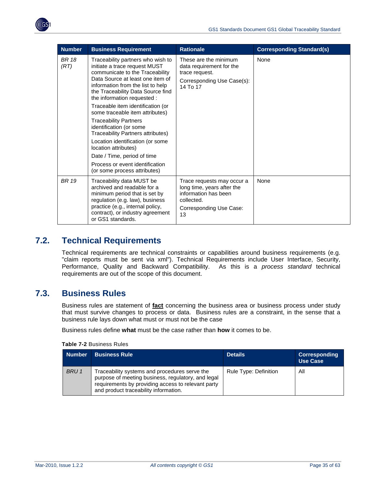<span id="page-34-0"></span>

| <b>Number</b>        | <b>Business Requirement</b>                                                                                                                                                                                                                        | <b>Rationale</b>                                                                                                                | <b>Corresponding Standard(s)</b> |
|----------------------|----------------------------------------------------------------------------------------------------------------------------------------------------------------------------------------------------------------------------------------------------|---------------------------------------------------------------------------------------------------------------------------------|----------------------------------|
| <b>BR</b> 18<br>(RT) | Traceability partners who wish to<br>initiate a trace request MUST<br>communicate to the Traceability<br>Data Source at least one item of<br>information from the list to help<br>the Traceability Data Source find<br>the information requested : | These are the minimum<br>data requirement for the<br>trace request.<br>Corresponding Use Case(s):<br>14 To 17                   | None                             |
|                      | Traceable item identification (or<br>some traceable item attributes)                                                                                                                                                                               |                                                                                                                                 |                                  |
|                      | <b>Traceability Partners</b><br>identification (or some<br><b>Traceability Partners attributes)</b>                                                                                                                                                |                                                                                                                                 |                                  |
|                      | Location identification (or some<br>location attributes)                                                                                                                                                                                           |                                                                                                                                 |                                  |
|                      | Date / Time, period of time                                                                                                                                                                                                                        |                                                                                                                                 |                                  |
|                      | Process or event identification<br>(or some process attributes)                                                                                                                                                                                    |                                                                                                                                 |                                  |
| <b>BR</b> 19         | Traceability data MUST be<br>archived and readable for a<br>minimum period that is set by<br>regulation (e.g. law), business<br>practice (e.g., internal policy,<br>contract), or industry agreement<br>or GS1 standards.                          | Trace requests may occur a<br>long time, years after the<br>information has been<br>collected.<br>Corresponding Use Case:<br>13 | None                             |

## <span id="page-34-1"></span>**7.2. Technical Requirements**

Technical requirements are technical constraints or capabilities around business requirements (e.g. "claim reports must be sent via xml"). Technical Requirements include User Interface, Security, Performance, Quality and Backward Compatibility. As this is a *process standard* technical requirements are out of the scope of this document.

## <span id="page-34-2"></span>**7.3. Business Rules**

Business rules are statement of **fact** concerning the business area or business process under study that must survive changes to process or data. Business rules are a constraint, in the sense that a business rule lays down what must or must not be the case

Business rules define **what** must be the case rather than **how** it comes to be.

**Table 7-2** Business Rules

| <b>Number</b> | <b>Business Rule</b>                                                                                                                                                                               | <b>Details</b>        | <b>Corresponding</b><br><b>Use Case</b> |
|---------------|----------------------------------------------------------------------------------------------------------------------------------------------------------------------------------------------------|-----------------------|-----------------------------------------|
| BRU 1         | Traceability systems and procedures serve the<br>purpose of meeting business, regulatory, and legal<br>requirements by providing access to relevant party<br>and product traceability information. | Rule Type: Definition | All                                     |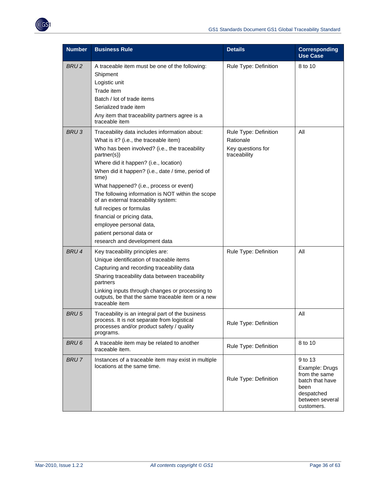

| <b>Number</b>    | <b>Business Rule</b>                                                                                                                                                                                                                                                                                                                                                                                                                                                                                                                                     | <b>Details</b>                                                          | <b>Corresponding</b><br><b>Use Case</b>                                                                              |
|------------------|----------------------------------------------------------------------------------------------------------------------------------------------------------------------------------------------------------------------------------------------------------------------------------------------------------------------------------------------------------------------------------------------------------------------------------------------------------------------------------------------------------------------------------------------------------|-------------------------------------------------------------------------|----------------------------------------------------------------------------------------------------------------------|
| <b>BRU2</b>      | A traceable item must be one of the following:<br>Shipment<br>Logistic unit<br>Trade item<br>Batch / lot of trade items<br>Serialized trade item<br>Any item that traceability partners agree is a<br>traceable item                                                                                                                                                                                                                                                                                                                                     | Rule Type: Definition                                                   | 8 to 10                                                                                                              |
| BRU <sub>3</sub> | Traceability data includes information about:<br>What is it? (i.e., the traceable item)<br>Who has been involved? (i.e., the traceability<br>partner(s))<br>Where did it happen? (i.e., location)<br>When did it happen? (i.e., date / time, period of<br>time)<br>What happened? (i.e., process or event)<br>The following information is NOT within the scope<br>of an external traceability system:<br>full recipes or formulas<br>financial or pricing data,<br>employee personal data,<br>patient personal data or<br>research and development data | Rule Type: Definition<br>Rationale<br>Key questions for<br>traceability | All                                                                                                                  |
| BRU 4            | Key traceability principles are:<br>Unique identification of traceable items<br>Capturing and recording traceability data<br>Sharing traceability data between traceability<br>partners<br>Linking inputs through changes or processing to<br>outputs, be that the same traceable item or a new<br>traceable item                                                                                                                                                                                                                                        | Rule Type: Definition                                                   | All                                                                                                                  |
| <b>BRU5</b>      | Traceability is an integral part of the business<br>process. It is not separate from logistical<br>processes and/or product safety / quality<br>programs.                                                                                                                                                                                                                                                                                                                                                                                                | Rule Type: Definition                                                   | All                                                                                                                  |
| BRU6             | A traceable item may be related to another<br>traceable item.                                                                                                                                                                                                                                                                                                                                                                                                                                                                                            | Rule Type: Definition                                                   | 8 to 10                                                                                                              |
| <b>BRU7</b>      | Instances of a traceable item may exist in multiple<br>locations at the same time.                                                                                                                                                                                                                                                                                                                                                                                                                                                                       | Rule Type: Definition                                                   | 9 to 13<br>Example: Drugs<br>from the same<br>batch that have<br>been<br>despatched<br>between several<br>customers. |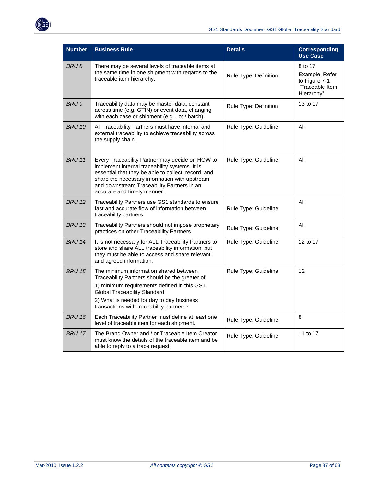

| <b>Number</b> | <b>Business Rule</b>                                                                                                                                                                                                                                                                                           | <b>Details</b>              | <b>Corresponding</b><br><b>Use Case</b>                                     |
|---------------|----------------------------------------------------------------------------------------------------------------------------------------------------------------------------------------------------------------------------------------------------------------------------------------------------------------|-----------------------------|-----------------------------------------------------------------------------|
| BRU8          | There may be several levels of traceable items at<br>the same time in one shipment with regards to the<br>traceable item hierarchy.                                                                                                                                                                            | Rule Type: Definition       | 8 to 17<br>Example: Refer<br>to Figure 7-1<br>"Traceable Item<br>Hierarchy" |
| BRU 9         | Traceability data may be master data, constant<br>across time (e.g. GTIN) or event data, changing<br>with each case or shipment (e.g., lot / batch).                                                                                                                                                           | Rule Type: Definition       | 13 to 17                                                                    |
| <b>BRU 10</b> | All Traceability Partners must have internal and<br>external traceability to achieve traceability across<br>the supply chain.                                                                                                                                                                                  | All<br>Rule Type: Guideline |                                                                             |
| <b>BRU 11</b> | Every Traceability Partner may decide on HOW to<br>Rule Type: Guideline<br>implement internal traceability systems. It is<br>essential that they be able to collect, record, and<br>share the necessary information with upstream<br>and downstream Traceability Partners in an<br>accurate and timely manner. |                             | All                                                                         |
| <b>BRU 12</b> | Traceability Partners use GS1 standards to ensure<br>fast and accurate flow of information between<br>traceability partners.                                                                                                                                                                                   | Rule Type: Guideline        | All                                                                         |
| <b>BRU 13</b> | Traceability Partners should not impose proprietary<br>practices on other Traceability Partners.                                                                                                                                                                                                               | Rule Type: Guideline        | All                                                                         |
| <b>BRU 14</b> | It is not necessary for ALL Traceability Partners to<br>store and share ALL traceability information, but<br>they must be able to access and share relevant<br>and agreed information.                                                                                                                         | Rule Type: Guideline        | 12 to 17                                                                    |
| <b>BRU 15</b> | The minimum information shared between<br>Traceability Partners should be the greater of:<br>1) minimum requirements defined in this GS1<br><b>Global Traceability Standard</b><br>2) What is needed for day to day business<br>transactions with traceability partners?                                       | Rule Type: Guideline        | 12                                                                          |
| <b>BRU 16</b> | Each Traceability Partner must define at least one<br>level of traceable item for each shipment.                                                                                                                                                                                                               | Rule Type: Guideline        | 8                                                                           |
| <b>BRU 17</b> | The Brand Owner and / or Traceable Item Creator<br>must know the details of the traceable item and be<br>able to reply to a trace request.                                                                                                                                                                     | Rule Type: Guideline        | 11 to 17                                                                    |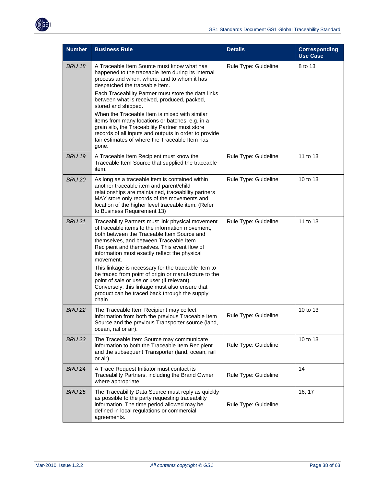

| <b>Number</b> | <b>Business Rule</b>                                                                                                                                                                                                                                                                                                                                                                                                                                                                                                                                                                      | <b>Details</b>       | <b>Corresponding</b><br><b>Use Case</b> |
|---------------|-------------------------------------------------------------------------------------------------------------------------------------------------------------------------------------------------------------------------------------------------------------------------------------------------------------------------------------------------------------------------------------------------------------------------------------------------------------------------------------------------------------------------------------------------------------------------------------------|----------------------|-----------------------------------------|
| <b>BRU 18</b> | A Traceable Item Source must know what has<br>happened to the traceable item during its internal<br>process and when, where, and to whom it has<br>despatched the traceable item.<br>Each Traceability Partner must store the data links<br>between what is received, produced, packed,<br>stored and shipped.<br>When the Traceable Item is mixed with similar<br>items from many locations or batches, e.g. in a<br>grain silo, the Traceability Partner must store<br>records of all inputs and outputs in order to provide<br>fair estimates of where the Traceable Item has<br>gone. | Rule Type: Guideline | 8 to 13                                 |
| <b>BRU 19</b> | A Traceable Item Recipient must know the<br>Traceable Item Source that supplied the traceable<br>item.                                                                                                                                                                                                                                                                                                                                                                                                                                                                                    | Rule Type: Guideline | 11 to 13                                |
| <b>BRU 20</b> | As long as a traceable item is contained within<br>another traceable item and parent/child<br>relationships are maintained, traceability partners<br>MAY store only records of the movements and<br>location of the higher level traceable item. (Refer<br>to Business Requirement 13)                                                                                                                                                                                                                                                                                                    | Rule Type: Guideline | 10 to 13                                |
| <b>BRU 21</b> | Traceability Partners must link physical movement<br>of traceable items to the information movement,<br>both between the Traceable Item Source and<br>themselves, and between Traceable Item<br>Recipient and themselves. This event flow of<br>information must exactly reflect the physical<br>movement.<br>This linkage is necessary for the traceable item to<br>be traced from point of origin or manufacture to the<br>point of sale or use or user (if relevant).<br>Conversely, this linkage must also ensure that<br>product can be traced back through the supply<br>chain.     | Rule Type: Guideline | 11 to 13                                |
| <b>BRU 22</b> | The Traceable Item Recipient may collect<br>information from both the previous Traceable Item<br>Source and the previous Transporter source (land,<br>ocean, rail or air).                                                                                                                                                                                                                                                                                                                                                                                                                | Rule Type: Guideline | 10 to 13                                |
| <b>BRU 23</b> | The Traceable Item Source may communicate<br>information to both the Traceable Item Recipient<br>and the subsequent Transporter (land, ocean, rail<br>or air).                                                                                                                                                                                                                                                                                                                                                                                                                            | Rule Type: Guideline | 10 to 13                                |
| <b>BRU 24</b> | A Trace Request Initiator must contact its<br>Traceability Partners, including the Brand Owner<br>where appropriate                                                                                                                                                                                                                                                                                                                                                                                                                                                                       | Rule Type: Guideline | 14                                      |
| <b>BRU 25</b> | The Traceability Data Source must reply as quickly<br>as possible to the party requesting traceability<br>information. The time period allowed may be<br>defined in local regulations or commercial<br>agreements.                                                                                                                                                                                                                                                                                                                                                                        | Rule Type: Guideline | 16, 17                                  |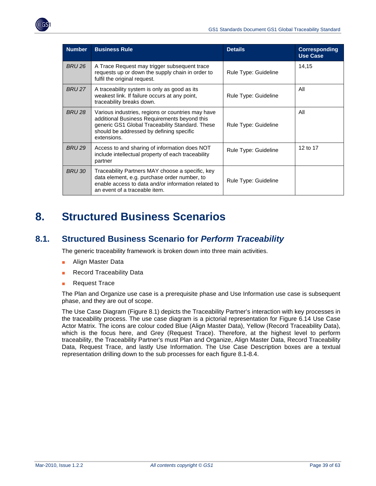<span id="page-38-0"></span>

| <b>Number</b> | <b>Business Rule</b>                                                                                                                                                                                            | <b>Details</b>       | <b>Corresponding</b><br><b>Use Case</b> |
|---------------|-----------------------------------------------------------------------------------------------------------------------------------------------------------------------------------------------------------------|----------------------|-----------------------------------------|
| BRU 26        | A Trace Request may trigger subsequent trace<br>requests up or down the supply chain in order to<br>fulfil the original request.                                                                                | Rule Type: Guideline | 14,15                                   |
| BRU 27        | A traceability system is only as good as its<br>weakest link. If failure occurs at any point,<br>traceability breaks down.                                                                                      | Rule Type: Guideline | All                                     |
| BRU 28        | Various industries, regions or countries may have<br>additional Business Requirements beyond this<br>generic GS1 Global Traceability Standard. These<br>should be addressed by defining specific<br>extensions. | Rule Type: Guideline | All                                     |
| <b>BRU 29</b> | Access to and sharing of information does NOT<br>include intellectual property of each traceability<br>partner                                                                                                  | Rule Type: Guideline | 12 to 17                                |
| BRU 30        | Traceability Partners MAY choose a specific, key<br>data element, e.g. purchase order number, to<br>enable access to data and/or information related to<br>an event of a traceable item.                        | Rule Type: Guideline |                                         |

## <span id="page-38-1"></span>**8. Structured Business Scenarios**

## <span id="page-38-2"></span>**8.1. Structured Business Scenario for** *Perform Traceability*

The generic traceability framework is broken down into three main activities.

- Align Master Data
- **Record Traceability Data**
- **Request Trace**

The Plan and Organize use case is a prerequisite phase and Use Information use case is subsequent phase, and they are out of scope.

The Use Case Diagram (Figure 8.1) depicts the Traceability Partner's interaction with key processes in the traceability process. The use case diagram is a pictorial representation for Figure 6.14 Use Case Actor Matrix. The icons are colour coded Blue (Align Master Data), Yellow (Record Traceability Data), which is the focus here, and Grey (Request Trace). Therefore, at the highest level to perform traceability, the Traceability Partner's must Plan and Organize, Align Master Data, Record Traceability Data, Request Trace, and lastly Use Information. The Use Case Description boxes are a textual representation drilling down to the sub processes for each figure 8.1-8.4.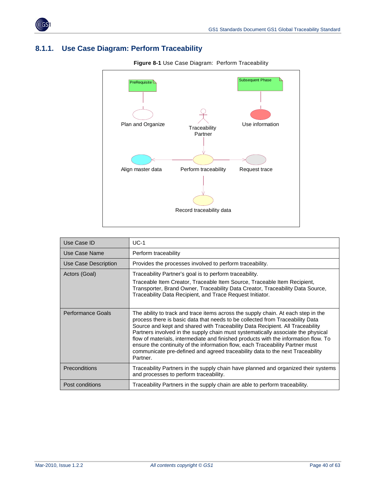<span id="page-39-0"></span>

## <span id="page-39-1"></span>**8.1.1. Use Case Diagram: Perform Traceability**



**Figure 8-1** Use Case Diagram: Perform Traceability

| Use Case ID          | $UCA-1$                                                                                                                                                                                                                                                                                                                                                                                                                                                                                                                                                                                                      |
|----------------------|--------------------------------------------------------------------------------------------------------------------------------------------------------------------------------------------------------------------------------------------------------------------------------------------------------------------------------------------------------------------------------------------------------------------------------------------------------------------------------------------------------------------------------------------------------------------------------------------------------------|
| Use Case Name        | Perform traceability                                                                                                                                                                                                                                                                                                                                                                                                                                                                                                                                                                                         |
| Use Case Description | Provides the processes involved to perform traceability.                                                                                                                                                                                                                                                                                                                                                                                                                                                                                                                                                     |
| Actors (Goal)        | Traceability Partner's goal is to perform traceability.<br>Traceable Item Creator, Traceable Item Source, Traceable Item Recipient,<br>Transporter, Brand Owner, Traceability Data Creator, Traceability Data Source,<br>Traceability Data Recipient, and Trace Request Initiator.                                                                                                                                                                                                                                                                                                                           |
| Performance Goals    | The ability to track and trace items across the supply chain. At each step in the<br>process there is basic data that needs to be collected from Traceability Data<br>Source and kept and shared with Traceability Data Recipient. All Traceability<br>Partners involved in the supply chain must systematically associate the physical<br>flow of materials, intermediate and finished products with the information flow. To<br>ensure the continuity of the information flow, each Traceability Partner must<br>communicate pre-defined and agreed traceability data to the next Traceability<br>Partner. |
| Preconditions        | Traceability Partners in the supply chain have planned and organized their systems<br>and processes to perform traceability.                                                                                                                                                                                                                                                                                                                                                                                                                                                                                 |
| Post conditions      | Traceability Partners in the supply chain are able to perform traceability.                                                                                                                                                                                                                                                                                                                                                                                                                                                                                                                                  |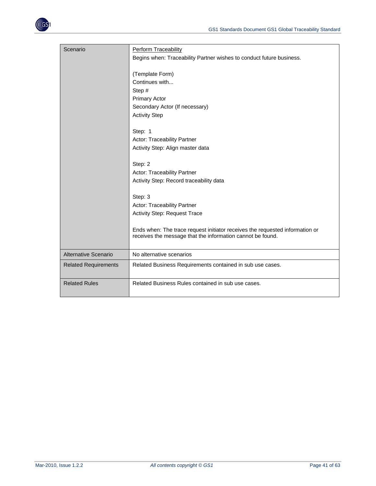

| Scenario                    | Perform Traceability<br>Begins when: Traceability Partner wishes to conduct future business.                                               |
|-----------------------------|--------------------------------------------------------------------------------------------------------------------------------------------|
|                             | (Template Form)<br>Continues with<br>Step #<br><b>Primary Actor</b><br>Secondary Actor (If necessary)                                      |
|                             | <b>Activity Step</b>                                                                                                                       |
|                             | Step: 1<br>Actor: Traceability Partner<br>Activity Step: Align master data                                                                 |
|                             | Step: 2<br>Actor: Traceability Partner<br>Activity Step: Record traceability data                                                          |
|                             | Step: 3<br><b>Actor: Traceability Partner</b><br><b>Activity Step: Request Trace</b>                                                       |
|                             | Ends when: The trace request initiator receives the requested information or<br>receives the message that the information cannot be found. |
| <b>Alternative Scenario</b> | No alternative scenarios                                                                                                                   |
| <b>Related Requirements</b> | Related Business Requirements contained in sub use cases.                                                                                  |
| <b>Related Rules</b>        | Related Business Rules contained in sub use cases.                                                                                         |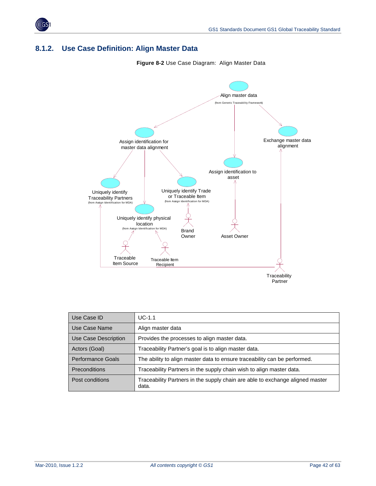<span id="page-41-0"></span>

## <span id="page-41-1"></span>**8.1.2. Use Case Definition: Align Master Data**

**Figure 8-2** Use Case Diagram: Align Master Data



| Use Case ID              | $UC-1.1$                                                                               |  |
|--------------------------|----------------------------------------------------------------------------------------|--|
| Use Case Name            | Align master data                                                                      |  |
| Use Case Description     | Provides the processes to align master data.                                           |  |
| Actors (Goal)            | Traceability Partner's goal is to align master data.                                   |  |
| <b>Performance Goals</b> | The ability to align master data to ensure traceability can be performed.              |  |
| <b>Preconditions</b>     | Traceability Partners in the supply chain wish to align master data.                   |  |
| Post conditions          | Traceability Partners in the supply chain are able to exchange aligned master<br>data. |  |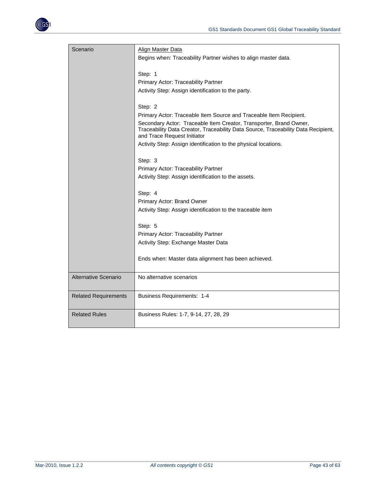

| Scenario                    | Align Master Data                                                                                                                                                                      |  |  |
|-----------------------------|----------------------------------------------------------------------------------------------------------------------------------------------------------------------------------------|--|--|
|                             | Begins when: Traceability Partner wishes to align master data.                                                                                                                         |  |  |
|                             | Step: 1                                                                                                                                                                                |  |  |
|                             | Primary Actor: Traceability Partner                                                                                                                                                    |  |  |
|                             | Activity Step: Assign identification to the party.                                                                                                                                     |  |  |
|                             | Step: 2                                                                                                                                                                                |  |  |
|                             | Primary Actor: Traceable Item Source and Traceable Item Recipient.                                                                                                                     |  |  |
|                             | Secondary Actor: Traceable Item Creator, Transporter, Brand Owner,<br>Traceability Data Creator, Traceability Data Source, Traceability Data Recipient,<br>and Trace Request Initiator |  |  |
|                             | Activity Step: Assign identification to the physical locations.                                                                                                                        |  |  |
|                             | Step: 3                                                                                                                                                                                |  |  |
|                             | Primary Actor: Traceability Partner                                                                                                                                                    |  |  |
|                             | Activity Step: Assign identification to the assets.                                                                                                                                    |  |  |
|                             | Step: 4                                                                                                                                                                                |  |  |
|                             | Primary Actor: Brand Owner                                                                                                                                                             |  |  |
|                             | Activity Step: Assign identification to the traceable item                                                                                                                             |  |  |
|                             | Step: 5                                                                                                                                                                                |  |  |
|                             | Primary Actor: Traceability Partner                                                                                                                                                    |  |  |
|                             | Activity Step: Exchange Master Data                                                                                                                                                    |  |  |
|                             | Ends when: Master data alignment has been achieved.                                                                                                                                    |  |  |
| Alternative Scenario        | No alternative scenarios                                                                                                                                                               |  |  |
| <b>Related Requirements</b> | <b>Business Requirements: 1-4</b>                                                                                                                                                      |  |  |
| <b>Related Rules</b>        | Business Rules: 1-7, 9-14, 27, 28, 29                                                                                                                                                  |  |  |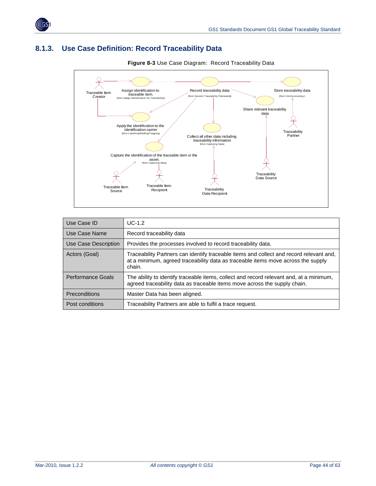<span id="page-43-0"></span>

## <span id="page-43-1"></span>**8.1.3. Use Case Definition: Record Traceability Data**



**Figure 8-3** Use Case Diagram: Record Traceability Data

| Use Case ID          | $UC-1.2$                                                                                                                                                                              |  |
|----------------------|---------------------------------------------------------------------------------------------------------------------------------------------------------------------------------------|--|
| Use Case Name        | Record traceability data                                                                                                                                                              |  |
| Use Case Description | Provides the processes involved to record traceability data.                                                                                                                          |  |
| Actors (Goal)        | Traceability Partners can identify traceable items and collect and record relevant and,<br>at a minimum, agreed traceability data as traceable items move across the supply<br>chain. |  |
| Performance Goals    | The ability to identify traceable items, collect and record relevant and, at a minimum,<br>agreed traceability data as traceable items move across the supply chain.                  |  |
| <b>Preconditions</b> | Master Data has been aligned.                                                                                                                                                         |  |
| Post conditions      | Traceability Partners are able to fulfil a trace request.                                                                                                                             |  |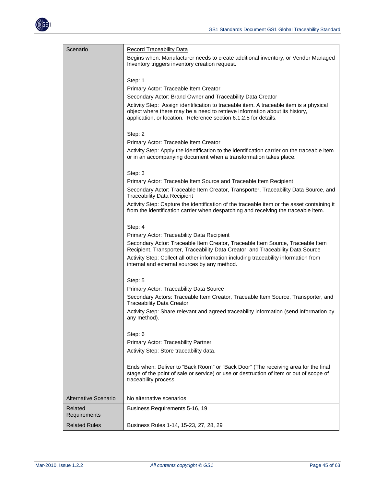

| Scenario                | <b>Record Traceability Data</b><br>Begins when: Manufacturer needs to create additional inventory, or Vendor Managed<br>Inventory triggers inventory creation request.<br>Step: 1<br>Primary Actor: Traceable Item Creator<br>Secondary Actor: Brand Owner and Traceability Data Creator<br>Activity Step: Assign identification to traceable item. A traceable item is a physical<br>object where there may be a need to retrieve information about its history,<br>application, or location. Reference section 6.1.2.5 for details.<br>Step: 2<br>Primary Actor: Traceable Item Creator<br>Activity Step: Apply the identification to the identification carrier on the traceable item<br>or in an accompanying document when a transformation takes place.<br>Step: 3<br>Primary Actor: Traceable Item Source and Traceable Item Recipient<br>Secondary Actor: Traceable Item Creator, Transporter, Traceability Data Source, and<br><b>Traceability Data Recipient</b><br>Activity Step: Capture the identification of the traceable item or the asset containing it<br>from the identification carrier when despatching and receiving the traceable item.<br>Step: 4<br>Primary Actor: Traceability Data Recipient<br>Secondary Actor: Traceable Item Creator, Traceable Item Source, Traceable Item<br>Recipient, Transporter, Traceability Data Creator, and Traceability Data Source<br>Activity Step: Collect all other information including traceability information from<br>internal and external sources by any method.<br>Step: 5<br>Primary Actor: Traceability Data Source<br>Secondary Actors: Traceable Item Creator, Traceable Item Source, Transporter, and<br><b>Traceability Data Creator</b><br>Activity Step: Share relevant and agreed traceability information (send information by<br>any method).<br>Step: 6<br>Primary Actor: Traceability Partner<br>Activity Step: Store traceability data. |
|-------------------------|----------------------------------------------------------------------------------------------------------------------------------------------------------------------------------------------------------------------------------------------------------------------------------------------------------------------------------------------------------------------------------------------------------------------------------------------------------------------------------------------------------------------------------------------------------------------------------------------------------------------------------------------------------------------------------------------------------------------------------------------------------------------------------------------------------------------------------------------------------------------------------------------------------------------------------------------------------------------------------------------------------------------------------------------------------------------------------------------------------------------------------------------------------------------------------------------------------------------------------------------------------------------------------------------------------------------------------------------------------------------------------------------------------------------------------------------------------------------------------------------------------------------------------------------------------------------------------------------------------------------------------------------------------------------------------------------------------------------------------------------------------------------------------------------------------------------------------------------------------------------------------------------------------------------------|
|                         |                                                                                                                                                                                                                                                                                                                                                                                                                                                                                                                                                                                                                                                                                                                                                                                                                                                                                                                                                                                                                                                                                                                                                                                                                                                                                                                                                                                                                                                                                                                                                                                                                                                                                                                                                                                                                                                                                                                            |
|                         |                                                                                                                                                                                                                                                                                                                                                                                                                                                                                                                                                                                                                                                                                                                                                                                                                                                                                                                                                                                                                                                                                                                                                                                                                                                                                                                                                                                                                                                                                                                                                                                                                                                                                                                                                                                                                                                                                                                            |
|                         |                                                                                                                                                                                                                                                                                                                                                                                                                                                                                                                                                                                                                                                                                                                                                                                                                                                                                                                                                                                                                                                                                                                                                                                                                                                                                                                                                                                                                                                                                                                                                                                                                                                                                                                                                                                                                                                                                                                            |
|                         | Ends when: Deliver to "Back Room" or "Back Door" (The receiving area for the final<br>stage of the point of sale or service) or use or destruction of item or out of scope of<br>traceability process.                                                                                                                                                                                                                                                                                                                                                                                                                                                                                                                                                                                                                                                                                                                                                                                                                                                                                                                                                                                                                                                                                                                                                                                                                                                                                                                                                                                                                                                                                                                                                                                                                                                                                                                     |
| Alternative Scenario    | No alternative scenarios                                                                                                                                                                                                                                                                                                                                                                                                                                                                                                                                                                                                                                                                                                                                                                                                                                                                                                                                                                                                                                                                                                                                                                                                                                                                                                                                                                                                                                                                                                                                                                                                                                                                                                                                                                                                                                                                                                   |
| Related<br>Requirements | Business Requirements 5-16, 19                                                                                                                                                                                                                                                                                                                                                                                                                                                                                                                                                                                                                                                                                                                                                                                                                                                                                                                                                                                                                                                                                                                                                                                                                                                                                                                                                                                                                                                                                                                                                                                                                                                                                                                                                                                                                                                                                             |
| <b>Related Rules</b>    | Business Rules 1-14, 15-23, 27, 28, 29                                                                                                                                                                                                                                                                                                                                                                                                                                                                                                                                                                                                                                                                                                                                                                                                                                                                                                                                                                                                                                                                                                                                                                                                                                                                                                                                                                                                                                                                                                                                                                                                                                                                                                                                                                                                                                                                                     |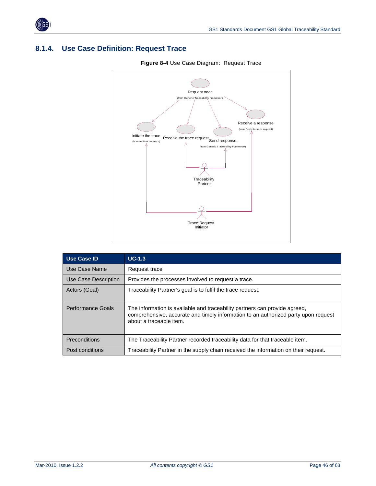<span id="page-45-0"></span>

## <span id="page-45-1"></span>**8.1.4. Use Case Definition: Request Trace**



| Use Case ID          | $UC-1.3$                                                                                                                                                                                    |  |
|----------------------|---------------------------------------------------------------------------------------------------------------------------------------------------------------------------------------------|--|
| Use Case Name        | Request trace                                                                                                                                                                               |  |
| Use Case Description | Provides the processes involved to request a trace.                                                                                                                                         |  |
| Actors (Goal)        | Traceability Partner's goal is to fulfil the trace request.                                                                                                                                 |  |
| Performance Goals    | The information is available and traceability partners can provide agreed,<br>comprehensive, accurate and timely information to an authorized party upon request<br>about a traceable item. |  |
| Preconditions        | The Traceability Partner recorded traceability data for that traceable item.                                                                                                                |  |
| Post conditions      | Traceability Partner in the supply chain received the information on their request.                                                                                                         |  |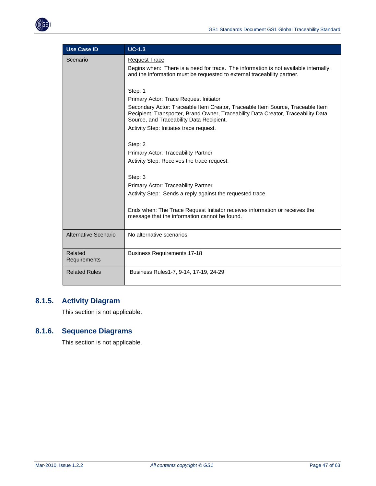<span id="page-46-0"></span>

| <b>Use Case ID</b>      | $UC-1.3$                                                                                                                                                                                                                                                                                                        |
|-------------------------|-----------------------------------------------------------------------------------------------------------------------------------------------------------------------------------------------------------------------------------------------------------------------------------------------------------------|
| Scenario                | <b>Request Trace</b><br>Begins when: There is a need for trace. The information is not available internally,<br>and the information must be requested to external traceability partner.                                                                                                                         |
|                         | Step: 1<br>Primary Actor: Trace Request Initiator<br>Secondary Actor: Traceable Item Creator, Traceable Item Source, Traceable Item<br>Recipient, Transporter, Brand Owner, Traceability Data Creator, Traceability Data<br>Source, and Traceability Data Recipient.<br>Activity Step: Initiates trace request. |
|                         | Step: 2<br>Primary Actor: Traceability Partner<br>Activity Step: Receives the trace request.                                                                                                                                                                                                                    |
|                         | Step: 3<br>Primary Actor: Traceability Partner<br>Activity Step: Sends a reply against the requested trace.                                                                                                                                                                                                     |
|                         | Ends when: The Trace Request Initiator receives information or receives the<br>message that the information cannot be found.                                                                                                                                                                                    |
| Alternative Scenario    | No alternative scenarios                                                                                                                                                                                                                                                                                        |
| Related<br>Requirements | <b>Business Requirements 17-18</b>                                                                                                                                                                                                                                                                              |
| <b>Related Rules</b>    | Business Rules1-7, 9-14, 17-19, 24-29                                                                                                                                                                                                                                                                           |

## <span id="page-46-1"></span>**8.1.5. Activity Diagram**

This section is not applicable.

### <span id="page-46-2"></span>**8.1.6. Sequence Diagrams**

This section is not applicable.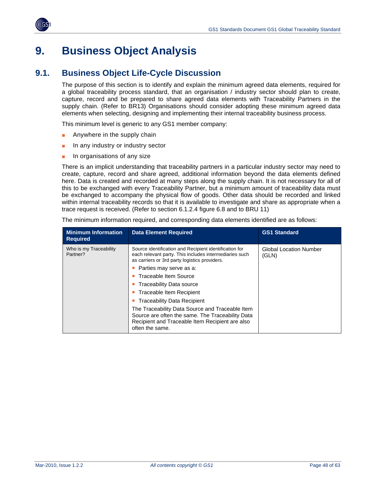

<span id="page-47-0"></span>

## <span id="page-47-1"></span>**9. Business Object Analysis**

## <span id="page-47-2"></span>**9.1. Business Object Life-Cycle Discussion**

The purpose of this section is to identify and explain the minimum agreed data elements, required for a global traceability process standard, that an organisation / industry sector should plan to create, capture, record and be prepared to share agreed data elements with Traceability Partners in the supply chain. (Refer to BR13) Organisations should consider adopting these minimum agreed data elements when selecting, designing and implementing their internal traceability business process.

This minimum level is generic to any GS1 member company:

- Anywhere in the supply chain
- In any industry or industry sector
- In organisations of any size

There is an implicit understanding that traceability partners in a particular industry sector may need to create, capture, record and share agreed, additional information beyond the data elements defined here. Data is created and recorded at many steps along the supply chain. It is not necessary for all of this to be exchanged with every Traceability Partner, but a minimum amount of traceability data must be exchanged to accompany the physical flow of goods. Other data should be recorded and linked within internal traceability records so that it is available to investigate and share as appropriate when a trace request is received. (Refer to section 6.1.2.4 figure 6.8 and to BRU 11)

**Minimum Information Required Data Element Required CS1 Standard CS1 Standard** Who is my Traceability Partner? Source identification and Recipient identification for each relevant party. This includes intermediaries such as carriers or 3rd party logistics providers. **Parties may serve as a: Traceable Item Source Traceability Data source Traceable Item Recipient Traceability Data Recipient** The Traceability Data Source and Traceable Item Source are often the same. The Traceability Data Recipient and Traceable Item Recipient are also often the same. Global Location Number (GLN)

The minimum information required, and corresponding data elements identified are as follows: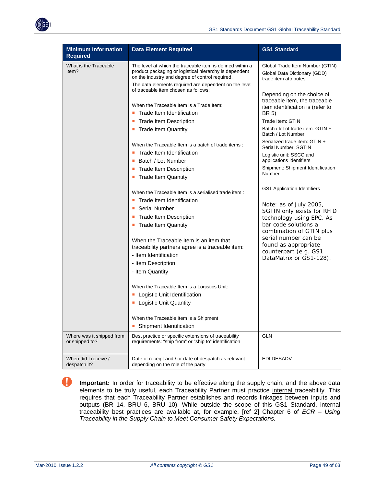

| <b>Minimum Information</b><br><b>Required</b> | <b>Data Element Required</b>                                                                                                                                                                                                                                                                                                                                                                                                                                                                                    | <b>GS1 Standard</b>                                                                                                                                                                                                                                                                                                                                    |
|-----------------------------------------------|-----------------------------------------------------------------------------------------------------------------------------------------------------------------------------------------------------------------------------------------------------------------------------------------------------------------------------------------------------------------------------------------------------------------------------------------------------------------------------------------------------------------|--------------------------------------------------------------------------------------------------------------------------------------------------------------------------------------------------------------------------------------------------------------------------------------------------------------------------------------------------------|
| What is the Traceable<br>ltem?                | The level at which the traceable item is defined within a<br>product packaging or logistical hierarchy is dependent<br>on the industry and degree of control required.<br>The data elements required are dependent on the level                                                                                                                                                                                                                                                                                 | Global Trade Item Number (GTIN)<br>Global Data Dictionary (GDD)<br>trade item attributes                                                                                                                                                                                                                                                               |
|                                               | of traceable item chosen as follows:<br>When the Traceable Item is a Trade Item:<br>Trade Item Identification<br><b>Trade Item Description</b><br><b>Trade Item Quantity</b><br>When the Traceable Item is a batch of trade items:<br>Trade Item Identification<br>Batch / Lot Number<br>п<br>• Trade Item Description                                                                                                                                                                                          | Depending on the choice of<br>traceable item, the traceable<br>item identification is (refer to<br>BR 5)<br>Trade Item: GTIN<br>Batch / lot of trade item: GTIN +<br>Batch / Lot Number<br>Serialized trade item: GTIN +<br>Serial Number, SGTIN<br>Logistic unit: SSCC and<br>applications identifiers<br>Shipment: Shipment Identification<br>Number |
|                                               | • Trade Item Quantity<br>When the Traceable Item is a serialised trade item:<br><b>Trade Item Identification</b><br>Serial Number<br><b>Trade Item Description</b><br>• Trade Item Quantity<br>When the Traceable Item is an item that<br>traceability partners agree is a traceable item:<br>- Item Identification<br>- Item Description<br>- Item Quantity<br>When the Traceable Item is a Logistics Unit:<br>Logistic Unit Identification<br>Logistic Unit Quantity<br>When the Traceable Item is a Shipment | GS1 Application Identifiers<br>Note: as of July 2005,<br>SGTIN only exists for RFID<br>technology using EPC. As<br>bar code solutions a<br>combination of GTIN plus<br>serial number can be<br>found as appropriate<br>counterpart (e.g. GS1<br>DataMatrix or GS1-128).                                                                                |
| Where was it shipped from<br>or shipped to?   | Shipment Identification<br>Best practice or specific extensions of traceability<br>requirements: "ship from" or "ship to" identification                                                                                                                                                                                                                                                                                                                                                                        | <b>GLN</b>                                                                                                                                                                                                                                                                                                                                             |
| When did I receive /<br>despatch it?          | Date of receipt and / or date of despatch as relevant<br>depending on the role of the party                                                                                                                                                                                                                                                                                                                                                                                                                     | EDI DESADV                                                                                                                                                                                                                                                                                                                                             |

 **Important:** In order for traceability to be effective along the supply chain, and the above data elements to be truly useful, each Traceability Partner must practice internal traceability. This requires that each Traceability Partner establishes and records linkages between inputs and outputs (BR 14, BRU 6, BRU 10). While outside the scope of this GS1 Standard, internal traceability best practices are available at, for example, [ref 2] Chapter 6 of *ECR – Using Traceability in the Supply Chain to Meet Consumer Safety Expectations.*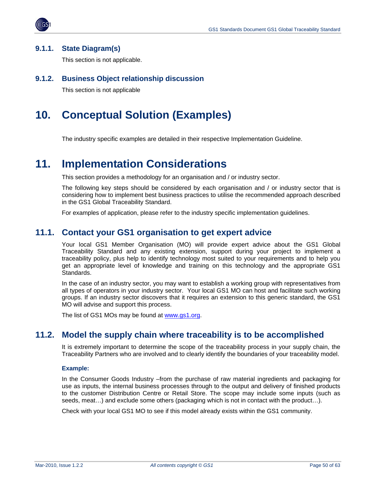<span id="page-49-0"></span>

#### <span id="page-49-1"></span>**9.1.1. State Diagram(s)**

This section is not applicable.

#### <span id="page-49-2"></span>**9.1.2. Business Object relationship discussion**

This section is not applicable

## <span id="page-49-3"></span>**10. Conceptual Solution (Examples)**

The industry specific examples are detailed in their respective Implementation Guideline.

## <span id="page-49-4"></span>**11. Implementation Considerations**

This section provides a methodology for an organisation and / or industry sector.

The following key steps should be considered by each organisation and / or industry sector that is considering how to implement best business practices to utilise the recommended approach described in the GS1 Global Traceability Standard.

For examples of application, please refer to the industry specific implementation guidelines.

### <span id="page-49-5"></span>**11.1. Contact your GS1 organisation to get expert advice**

Your local GS1 Member Organisation (MO) will provide expert advice about the GS1 Global Traceability Standard and any existing extension, support during your project to implement a traceability policy, plus help to identify technology most suited to your requirements and to help you get an appropriate level of knowledge and training on this technology and the appropriate GS1 Standards.

In the case of an industry sector, you may want to establish a working group with representatives from all types of operators in your industry sector. Your local GS1 MO can host and facilitate such working groups. If an industry sector discovers that it requires an extension to this generic standard, the GS1 MO will advise and support this process.

The list of GS1 MOs may be found at [www.gs1.org.](http://www.gs1.org/)

## <span id="page-49-6"></span>**11.2. Model the supply chain where traceability is to be accomplished**

It is extremely important to determine the scope of the traceability process in your supply chain, the Traceability Partners who are involved and to clearly identify the boundaries of your traceability model.

#### **Example:**

In the Consumer Goods Industry –from the purchase of raw material ingredients and packaging for use as inputs, the internal business processes through to the output and delivery of finished products to the customer Distribution Centre or Retail Store. The scope may include some inputs (such as seeds, meat…) and exclude some others (packaging which is not in contact with the product…).

Check with your local GS1 MO to see if this model already exists within the GS1 community.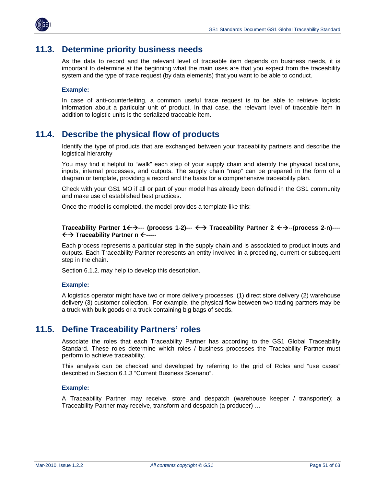<span id="page-50-0"></span>

## <span id="page-50-1"></span>**11.3. Determine priority business needs**

As the data to record and the relevant level of traceable item depends on business needs, it is important to determine at the beginning what the main uses are that you expect from the traceability system and the type of trace request (by data elements) that you want to be able to conduct.

#### **Example:**

In case of anti-counterfeiting, a common useful trace request is to be able to retrieve logistic information about a particular unit of product. In that case, the relevant level of traceable item in addition to logistic units is the serialized traceable item.

### <span id="page-50-2"></span>**11.4. Describe the physical flow of products**

Identify the type of products that are exchanged between your traceability partners and describe the logistical hierarchy

You may find it helpful to "walk" each step of your supply chain and identify the physical locations, inputs, internal processes, and outputs. The supply chain "map" can be prepared in the form of a diagram or template, providing a record and the basis for a comprehensive traceability plan.

Check with your GS1 MO if all or part of your model has already been defined in the GS1 community and make use of established best practices.

Once the model is completed, the model provides a template like this:

#### **Traceability Partner 1←** $\rightarrow$ **--- (process 1-2)--- ←** $\rightarrow$  **Traceability Partner 2 ←** $\rightarrow$ **--(process 2-n)----**ÅÆ **Traceability Partner n** Å**-----**

Each process represents a particular step in the supply chain and is associated to product inputs and outputs. Each Traceability Partner represents an entity involved in a preceding, current or subsequent step in the chain.

Section 6.1.2. may help to develop this description.

#### **Example:**

A logistics operator might have two or more delivery processes: (1) direct store delivery (2) warehouse delivery (3) customer collection. For example, the physical flow between two trading partners may be a truck with bulk goods or a truck containing big bags of seeds.

### <span id="page-50-3"></span>**11.5. Define Traceability Partners' roles**

Associate the roles that each Traceability Partner has according to the GS1 Global Traceability Standard. These roles determine which roles / business processes the Traceability Partner must perform to achieve traceability.

This analysis can be checked and developed by referring to the grid of Roles and "use cases" described in Section 6.1.3 "Current Business Scenario".

#### **Example:**

A Traceability Partner may receive, store and despatch (warehouse keeper / transporter); a Traceability Partner may receive, transform and despatch (a producer) …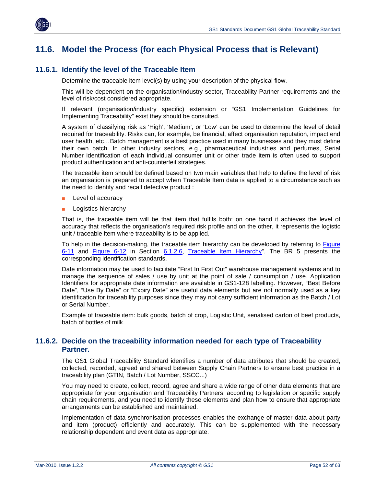<span id="page-51-0"></span>

## <span id="page-51-1"></span>**11.6. Model the Process (for each Physical Process that is Relevant)**

#### <span id="page-51-2"></span>**11.6.1. Identify the level of the Traceable Item**

Determine the traceable item level(s) by using your description of the physical flow.

This will be dependent on the organisation/industry sector, Traceability Partner requirements and the level of risk/cost considered appropriate.

If relevant (organisation/industry specific) extension or "GS1 Implementation Guidelines for Implementing Traceability" exist they should be consulted.

A system of classifying risk as 'High', 'Medium', or 'Low' can be used to determine the level of detail required for traceability. Risks can, for example, be financial, affect organisation reputation, impact end user health, etc…Batch management is a best practice used in many businesses and they must define their own batch. In other industry sectors, e.g., pharmaceutical industries and perfumes, Serial Number identification of each individual consumer unit or other trade item is often used to support product authentication and anti-counterfeit strategies.

The traceable item should be defined based on two main variables that help to define the level of risk an organisation is prepared to accept when Traceable Item data is applied to a circumstance such as the need to identify and recall defective product :

- Level of accuracy
- **Logistics hierarchy**

That is, the traceable item will be that item that fulfils both: on one hand it achieves the level of accuracy that reflects the organisation's required risk profile and on the other, it represents the logistic unit / traceable item where traceability is to be applied.

To help in the decision-making, the traceable item hierarchy can be developed by referring to [Figure](#page-22-0)  [6-11](#page-22-0) and [Figure 6-12](#page-24-0) in Section [6.1.2.6](#page-22-1), [Traceable Item Hierarchy](#page-22-1)". The BR 5 presents the corresponding identification standards.

Date information may be used to facilitate "First In First Out" warehouse management systems and to manage the sequence of sales / use by unit at the point of sale / consumption / use. Application Identifiers for appropriate date information are available in GS1-128 labelling. However, "Best Before Date", "Use By Date" or "Expiry Date" are useful data elements but are not normally used as a key identification for traceability purposes since they may not carry sufficient information as the Batch / Lot or Serial Number.

Example of traceable item: bulk goods, batch of crop, Logistic Unit, serialised carton of beef products, batch of bottles of milk.

#### <span id="page-51-3"></span>**11.6.2. Decide on the traceability information needed for each type of Traceability Partner.**

The GS1 Global Traceability Standard identifies a number of data attributes that should be created, collected, recorded, agreed and shared between Supply Chain Partners to ensure best practice in a traceability plan (GTIN, Batch / Lot Number, SSCC...)

You may need to create, collect, record, agree and share a wide range of other data elements that are appropriate for your organisation and Traceability Partners, according to legislation or specific supply chain requirements, and you need to identify these elements and plan how to ensure that appropriate arrangements can be established and maintained.

Implementation of data synchronisation processes enables the exchange of master data about party and item (product) efficiently and accurately. This can be supplemented with the necessary relationship dependent and event data as appropriate.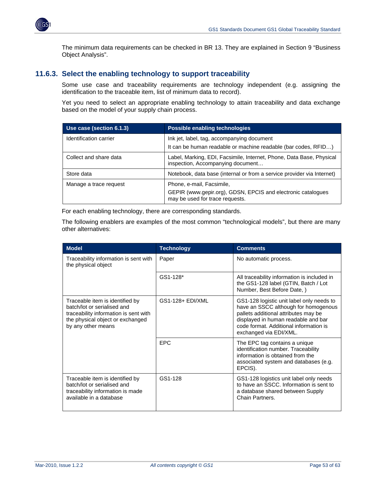<span id="page-52-0"></span>

The minimum data requirements can be checked in BR 13. They are explained in Section 9 "Business Object Analysis".

#### <span id="page-52-1"></span>**11.6.3. Select the enabling technology to support traceability**

Some use case and traceability requirements are technology independent (e.g. assigning the identification to the traceable item, list of minimum data to record).

Yet you need to select an appropriate enabling technology to attain traceability and data exchange based on the model of your supply chain process.

| Use case (section 6.1.3) | <b>Possible enabling technologies</b>                                                                                        |  |
|--------------------------|------------------------------------------------------------------------------------------------------------------------------|--|
| Identification carrier   | Ink jet, label, tag, accompanying document<br>It can be human readable or machine readable (bar codes, RFID)                 |  |
| Collect and share data   | Label, Marking, EDI, Facsimile, Internet, Phone, Data Base, Physical<br>inspection, Accompanying document                    |  |
| Store data               | Notebook, data base (internal or from a service provider via Internet)                                                       |  |
| Manage a trace request   | Phone, e-mail, Facsimile,<br>GEPIR (www.gepir.org), GDSN, EPCIS and electronic catalogues<br>may be used for trace requests. |  |

For each enabling technology, there are corresponding standards.

The following enablers are examples of the most common "technological models", but there are many other alternatives:

| <b>Model</b>                                                                                                                                                      | <b>Technology</b> | <b>Comments</b>                                                                                                                                                                                                                      |  |
|-------------------------------------------------------------------------------------------------------------------------------------------------------------------|-------------------|--------------------------------------------------------------------------------------------------------------------------------------------------------------------------------------------------------------------------------------|--|
| Traceability information is sent with<br>the physical object                                                                                                      | Paper             | No automatic process.                                                                                                                                                                                                                |  |
|                                                                                                                                                                   | GS1-128*          | All traceability information is included in<br>the GS1-128 label (GTIN, Batch / Lot<br>Number, Best Before Date, )                                                                                                                   |  |
| Traceable item is identified by<br>batch/lot or serialised and<br>traceability information is sent with<br>the physical object or exchanged<br>by any other means | GS1-128+ EDI/XML  | GS1-128 logistic unit label only needs to<br>have an SSCC although for homogenous<br>pallets additional attributes may be<br>displayed in human readable and bar<br>code format. Additional information is<br>exchanged via EDI/XML. |  |
|                                                                                                                                                                   | <b>EPC</b>        | The EPC tag contains a unique<br>identification number. Traceability<br>information is obtained from the<br>associated system and databases (e.g.<br>EPCIS).                                                                         |  |
| Traceable item is identified by<br>batch/lot or serialised and<br>traceability information is made<br>available in a database                                     | GS1-128           | GS1-128 logistics unit label only needs<br>to have an SSCC. Information is sent to<br>a database shared between Supply<br>Chain Partners.                                                                                            |  |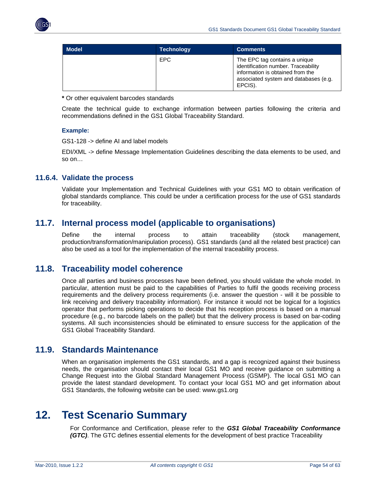<span id="page-53-0"></span>

| <b>Model</b> | <b>Technology</b> | <b>Comments</b>                                                                                                                                              |
|--------------|-------------------|--------------------------------------------------------------------------------------------------------------------------------------------------------------|
|              | EPC.              | The EPC tag contains a unique<br>identification number. Traceability<br>information is obtained from the<br>associated system and databases (e.g.<br>EPCIS). |

**\*** Or other equivalent barcodes standards

Create the technical guide to exchange information between parties following the criteria and recommendations defined in the GS1 Global Traceability Standard.

#### **Example:**

GS1-128 -> define AI and label models

EDI/XML -> define Message Implementation Guidelines describing the data elements to be used, and so on…

#### <span id="page-53-1"></span>**11.6.4. Validate the process**

Validate your Implementation and Technical Guidelines with your GS1 MO to obtain verification of global standards compliance. This could be under a certification process for the use of GS1 standards for traceability.

## <span id="page-53-2"></span>**11.7. Internal process model (applicable to organisations)**

Define the internal process to attain traceability (stock management, production/transformation/manipulation process). GS1 standards (and all the related best practice) can also be used as a tool for the implementation of the internal traceability process.

## <span id="page-53-3"></span>**11.8. Traceability model coherence**

Once all parties and business processes have been defined, you should validate the whole model. In particular, attention must be paid to the capabilities of Parties to fulfil the goods receiving process requirements and the delivery process requirements (i.e. answer the question - will it be possible to link receiving and delivery traceability information). For instance it would not be logical for a logistics operator that performs picking operations to decide that his reception process is based on a manual procedure (e.g., no barcode labels on the pallet) but that the delivery process is based on bar-coding systems. All such inconsistencies should be eliminated to ensure success for the application of the GS1 Global Traceability Standard.

## <span id="page-53-4"></span>**11.9. Standards Maintenance**

When an organisation implements the GS1 standards, and a gap is recognized against their business needs, the organisation should contact their local GS1 MO and receive guidance on submitting a Change Request into the Global Standard Management Process (GSMP). The local GS1 MO can provide the latest standard development. To contact your local GS1 MO and get information about GS1 Standards, the following website can be used: www.gs1.org

## <span id="page-53-5"></span>**12. Test Scenario Summary**

For Conformance and Certification, please refer to the *GS1 Global Traceability Conformance (GTC)*. The GTC defines essential elements for the development of best practice Traceability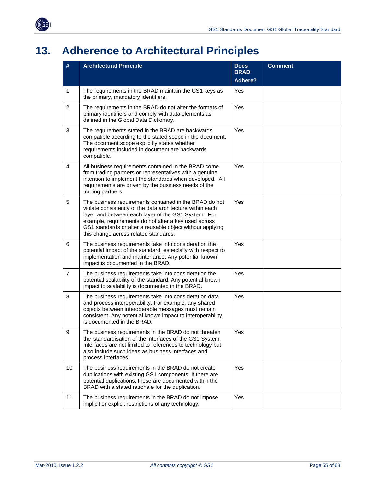<span id="page-54-0"></span>

# <span id="page-54-1"></span>**13. Adherence to Architectural Principles**

| #                                                                                                                                                                                                                                                                                                                                                   | <b>Architectural Principle</b>                                                                                                                                                                                                                                    | <b>Does</b><br><b>BRAD</b> | <b>Comment</b> |
|-----------------------------------------------------------------------------------------------------------------------------------------------------------------------------------------------------------------------------------------------------------------------------------------------------------------------------------------------------|-------------------------------------------------------------------------------------------------------------------------------------------------------------------------------------------------------------------------------------------------------------------|----------------------------|----------------|
|                                                                                                                                                                                                                                                                                                                                                     |                                                                                                                                                                                                                                                                   | <b>Adhere?</b>             |                |
| $\mathbf{1}$                                                                                                                                                                                                                                                                                                                                        | The requirements in the BRAD maintain the GS1 keys as<br>the primary, mandatory identifiers.                                                                                                                                                                      | Yes                        |                |
| $\overline{2}$                                                                                                                                                                                                                                                                                                                                      | The requirements in the BRAD do not alter the formats of<br>primary identifiers and comply with data elements as<br>defined in the Global Data Dictionary.                                                                                                        | Yes                        |                |
| $\mathbf{3}$                                                                                                                                                                                                                                                                                                                                        | The requirements stated in the BRAD are backwards<br>compatible according to the stated scope in the document.<br>The document scope explicitly states whether<br>requirements included in document are backwards<br>compatible.                                  |                            |                |
| $\overline{4}$                                                                                                                                                                                                                                                                                                                                      | All business requirements contained in the BRAD come<br>from trading partners or representatives with a genuine<br>intention to implement the standards when developed. All<br>requirements are driven by the business needs of the<br>trading partners.          | Yes                        |                |
| 5<br>Yes<br>The business requirements contained in the BRAD do not<br>violate consistency of the data architecture within each<br>layer and between each layer of the GS1 System. For<br>example, requirements do not alter a key used across<br>GS1 standards or alter a reusable object without applying<br>this change across related standards. |                                                                                                                                                                                                                                                                   |                            |                |
| 6                                                                                                                                                                                                                                                                                                                                                   | The business requirements take into consideration the<br>potential impact of the standard, especially with respect to<br>implementation and maintenance. Any potential known<br>impact is documented in the BRAD.                                                 | Yes                        |                |
| $\overline{7}$                                                                                                                                                                                                                                                                                                                                      | The business requirements take into consideration the<br>potential scalability of the standard. Any potential known<br>impact to scalability is documented in the BRAD.                                                                                           | Yes                        |                |
| 8                                                                                                                                                                                                                                                                                                                                                   | The business requirements take into consideration data<br>and process interoperability. For example, any shared<br>objects between interoperable messages must remain<br>consistent. Any potential known impact to interoperability<br>is documented in the BRAD. | Yes                        |                |
| 9                                                                                                                                                                                                                                                                                                                                                   | The business requirements in the BRAD do not threaten<br>the standardisation of the interfaces of the GS1 System.<br>Interfaces are not limited to references to technology but<br>also include such ideas as business interfaces and<br>process interfaces.      | Yes                        |                |
| 10                                                                                                                                                                                                                                                                                                                                                  | The business requirements in the BRAD do not create<br>duplications with existing GS1 components. If there are<br>potential duplications, these are documented within the<br>BRAD with a stated rationale for the duplication.                                    | Yes                        |                |
| 11                                                                                                                                                                                                                                                                                                                                                  | The business requirements in the BRAD do not impose<br>implicit or explicit restrictions of any technology.                                                                                                                                                       | Yes                        |                |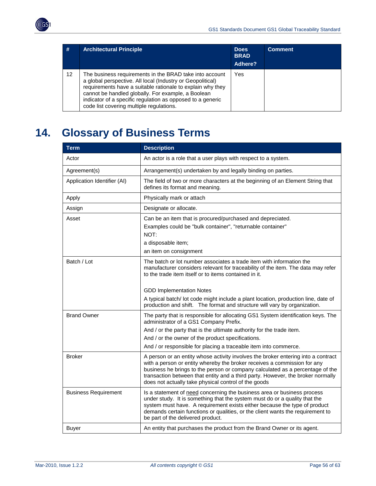<span id="page-55-0"></span>

| #  | <b>Architectural Principle</b>                                                                                                                                                                                                                                                                                                                      | <b>Does</b><br><b>BRAD</b><br>Adhere? | <b>Comment</b> |
|----|-----------------------------------------------------------------------------------------------------------------------------------------------------------------------------------------------------------------------------------------------------------------------------------------------------------------------------------------------------|---------------------------------------|----------------|
| 12 | The business requirements in the BRAD take into account<br>a global perspective. All local (Industry or Geopolitical)<br>requirements have a suitable rationale to explain why they<br>cannot be handled globally. For example, a Boolean<br>indicator of a specific regulation as opposed to a generic<br>code list covering multiple regulations. | Yes                                   |                |

# <span id="page-55-1"></span>**14. Glossary of Business Terms**

| <b>Term</b>                 | <b>Description</b>                                                                                                                                                                                                                                                                                                                                                                                                      |  |
|-----------------------------|-------------------------------------------------------------------------------------------------------------------------------------------------------------------------------------------------------------------------------------------------------------------------------------------------------------------------------------------------------------------------------------------------------------------------|--|
| Actor                       | An actor is a role that a user plays with respect to a system.                                                                                                                                                                                                                                                                                                                                                          |  |
| Agreement(s)                | Arrangement(s) undertaken by and legally binding on parties.                                                                                                                                                                                                                                                                                                                                                            |  |
| Application Identifier (AI) | The field of two or more characters at the beginning of an Element String that<br>defines its format and meaning.                                                                                                                                                                                                                                                                                                       |  |
| Apply                       | Physically mark or attach                                                                                                                                                                                                                                                                                                                                                                                               |  |
| Assign                      | Designate or allocate.                                                                                                                                                                                                                                                                                                                                                                                                  |  |
| Asset                       | Can be an item that is procured/purchased and depreciated.<br>Examples could be "bulk container", "returnable container"<br>NOT:<br>a disposable item;<br>an item on consignment                                                                                                                                                                                                                                        |  |
| Batch / Lot                 | The batch or lot number associates a trade item with information the<br>manufacturer considers relevant for traceability of the item. The data may refer<br>to the trade item itself or to items contained in it.<br><b>GDD Implementation Notes</b><br>A typical batch/ lot code might include a plant location, production line, date of<br>production and shift. The format and structure will vary by organization. |  |
| <b>Brand Owner</b>          | The party that is responsible for allocating GS1 System identification keys. The<br>administrator of a GS1 Company Prefix.<br>And / or the party that is the ultimate authority for the trade item.<br>And / or the owner of the product specifications.<br>And / or responsible for placing a traceable item into commerce.                                                                                            |  |
| <b>Broker</b>               | A person or an entity whose activity involves the broker entering into a contract<br>with a person or entity whereby the broker receives a commission for any<br>business he brings to the person or company calculated as a percentage of the<br>transaction between that entity and a third party. However, the broker normally<br>does not actually take physical control of the goods                               |  |
| <b>Business Requirement</b> | Is a statement of need concerning the business area or business process<br>under study. It is something that the system must do or a quality that the<br>system must have. A requirement exists either because the type of product<br>demands certain functions or qualities, or the client wants the requirement to<br>be part of the delivered product.                                                               |  |
| <b>Buyer</b>                | An entity that purchases the product from the Brand Owner or its agent.                                                                                                                                                                                                                                                                                                                                                 |  |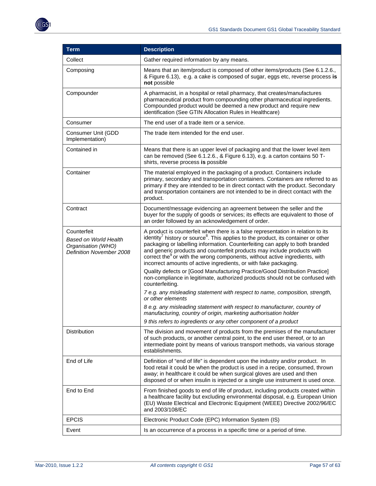

| <b>Term</b>                                                                                   | <b>Description</b>                                                                                                                                                                                                                                                                                                                                                                                                                                                                                          |  |
|-----------------------------------------------------------------------------------------------|-------------------------------------------------------------------------------------------------------------------------------------------------------------------------------------------------------------------------------------------------------------------------------------------------------------------------------------------------------------------------------------------------------------------------------------------------------------------------------------------------------------|--|
| Collect                                                                                       | Gather required information by any means.                                                                                                                                                                                                                                                                                                                                                                                                                                                                   |  |
| Composing                                                                                     | Means that an item/product is composed of other items/products (See 6.1.2.6.,<br>& Figure 6.13), e.g. a cake is composed of sugar, eggs etc, reverse process is<br>not possible                                                                                                                                                                                                                                                                                                                             |  |
| Compounder                                                                                    | A pharmacist, in a hospital or retail pharmacy, that creates/manufactures<br>pharmaceutical product from compounding other pharmaceutical ingredients.<br>Compounded product would be deemed a new product and require new<br>identification (See GTIN Allocation Rules in Healthcare)                                                                                                                                                                                                                      |  |
| Consumer                                                                                      | The end user of a trade item or a service.                                                                                                                                                                                                                                                                                                                                                                                                                                                                  |  |
| Consumer Unit (GDD<br>Implementation)                                                         | The trade item intended for the end user.                                                                                                                                                                                                                                                                                                                                                                                                                                                                   |  |
| Contained in                                                                                  | Means that there is an upper level of packaging and that the lower level item<br>can be removed (See 6.1.2.6., & Figure 6.13), e.g. a carton contains 50 T-<br>shirts, reverse process is possible                                                                                                                                                                                                                                                                                                          |  |
| Container                                                                                     | The material employed in the packaging of a product. Containers include<br>primary, secondary and transportation containers. Containers are referred to as<br>primary if they are intended to be in direct contact with the product. Secondary<br>and transportation containers are not intended to be in direct contact with the<br>product.                                                                                                                                                               |  |
| Contract                                                                                      | Document/message evidencing an agreement between the seller and the<br>buyer for the supply of goods or services; its effects are equivalent to those of<br>an order followed by an acknowledgement of order.                                                                                                                                                                                                                                                                                               |  |
| Counterfeit<br><b>Based on World Health</b><br>Organisation (WHO)<br>Definition November 2008 | A product is counterfeit when there is a false representation in relation to its<br>identity <sup>7</sup> history or source <sup>8</sup> . This applies to the product, its container or other<br>packaging or labelling information. Counterfeiting can apply to both branded<br>and generic products and counterfeit products may include products with<br>correct the or with the wrong components, without active ingredients, with<br>incorrect amounts of active ingredients, or with fake packaging. |  |
|                                                                                               | Quality defects or [Good Manufacturing Practice/Good Distribution Practice]<br>non-compliance in legitimate, authorized products should not be confused with<br>counterfeiting.                                                                                                                                                                                                                                                                                                                             |  |
|                                                                                               | 7 e.g. any misleading statement with respect to name, composition, strength,<br>or other elements                                                                                                                                                                                                                                                                                                                                                                                                           |  |
|                                                                                               | 8 e.g. any misleading statement with respect to manufacturer, country of<br>manufacturing, country of origin, marketing authorisation holder                                                                                                                                                                                                                                                                                                                                                                |  |
|                                                                                               | 9 this refers to ingredients or any other component of a product                                                                                                                                                                                                                                                                                                                                                                                                                                            |  |
| Distribution                                                                                  | The division and movement of products from the premises of the manufacturer<br>of such products, or another central point, to the end user thereof, or to an<br>intermediate point by means of various transport methods, via various storage<br>establishments.                                                                                                                                                                                                                                            |  |
| End of Life                                                                                   | Definition of "end of life" is dependent upon the industry and/or product. In<br>food retail it could be when the product is used in a recipe, consumed, thrown<br>away; in healthcare it could be when surgical gloves are used and then<br>disposed of or when insulin is injected or a single use instrument is used once.                                                                                                                                                                               |  |
| End to End                                                                                    | From finished goods to end of life of product, including products created within<br>a healthcare facility but excluding environmental disposal, e.g. European Union<br>(EU) Waste Electrical and Electronic Equipment (WEEE) Directive 2002/96/EC<br>and 2003/108/EC                                                                                                                                                                                                                                        |  |
| <b>EPCIS</b>                                                                                  | Electronic Product Code (EPC) Information System (IS)                                                                                                                                                                                                                                                                                                                                                                                                                                                       |  |
| Event                                                                                         | Is an occurrence of a process in a specific time or a period of time.                                                                                                                                                                                                                                                                                                                                                                                                                                       |  |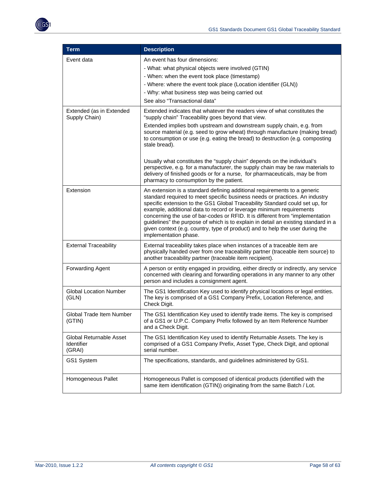

| <b>Term</b>                                            | <b>Description</b>                                                                                                                                                                                                                                                                                                                                                                                                                                                                                                                                                                                                                         |
|--------------------------------------------------------|--------------------------------------------------------------------------------------------------------------------------------------------------------------------------------------------------------------------------------------------------------------------------------------------------------------------------------------------------------------------------------------------------------------------------------------------------------------------------------------------------------------------------------------------------------------------------------------------------------------------------------------------|
| Event data                                             | An event has four dimensions:<br>- What: what physical objects were involved (GTIN)<br>- When: when the event took place (timestamp)<br>- Where: where the event took place (Location identifier (GLN))<br>- Why: what business step was being carried out<br>See also "Transactional data"                                                                                                                                                                                                                                                                                                                                                |
| Extended (as in Extended<br>Supply Chain)              | Extended indicates that whatever the readers view of what constitutes the<br>"supply chain" Traceability goes beyond that view.<br>Extended implies both upstream and downstream supply chain, e.g. from<br>source material (e.g. seed to grow wheat) through manufacture (making bread)<br>to consumption or use (e.g. eating the bread) to destruction (e.g. composting<br>stale bread).<br>Usually what constitutes the "supply chain" depends on the individual's<br>perspective, e.g. for a manufacturer, the supply chain may be raw materials to<br>delivery of finished goods or for a nurse, for pharmaceuticals, may be from     |
| Extension                                              | pharmacy to consumption by the patient.<br>An extension is a standard defining additional requirements to a generic<br>standard required to meet specific business needs or practices. An industry<br>specific extension to the GS1 Global Traceability Standard could set up, for<br>example, additional data to record or leverage minimum requirements<br>concerning the use of bar-codes or RFID. It is different from "implementation<br>guidelines" the purpose of which is to explain in detail an existing standard in a<br>given context (e.g. country, type of product) and to help the user during the<br>implementation phase. |
| <b>External Traceability</b>                           | External traceability takes place when instances of a traceable item are<br>physically handed over from one traceability partner (traceable item source) to<br>another traceability partner (traceable item recipient).                                                                                                                                                                                                                                                                                                                                                                                                                    |
| Forwarding Agent                                       | A person or entity engaged in providing, either directly or indirectly, any service<br>concerned with clearing and forwarding operations in any manner to any other<br>person and includes a consignment agent.                                                                                                                                                                                                                                                                                                                                                                                                                            |
| <b>Global Location Number</b><br>(GLN)                 | The GS1 Identification Key used to identify physical locations or legal entities.<br>The key is comprised of a GS1 Company Prefix, Location Reference, and<br>Check Digit.                                                                                                                                                                                                                                                                                                                                                                                                                                                                 |
| <b>Global Trade Item Number</b><br>(GIIN)              | The GS1 Identification Key used to identify trade items. The key is comprised<br>of a GS1 or U.P.C. Company Prefix followed by an Item Reference Number<br>and a Check Digit.                                                                                                                                                                                                                                                                                                                                                                                                                                                              |
| Global Returnable Asset<br><b>Identifier</b><br>(GRAI) | The GS1 Identification Key used to identify Returnable Assets. The key is<br>comprised of a GS1 Company Prefix, Asset Type, Check Digit, and optional<br>serial number.                                                                                                                                                                                                                                                                                                                                                                                                                                                                    |
| GS1 System                                             | The specifications, standards, and guidelines administered by GS1.                                                                                                                                                                                                                                                                                                                                                                                                                                                                                                                                                                         |
| Homogeneous Pallet                                     | Homogeneous Pallet is composed of identical products (identified with the<br>same item identification (GTIN)) originating from the same Batch / Lot.                                                                                                                                                                                                                                                                                                                                                                                                                                                                                       |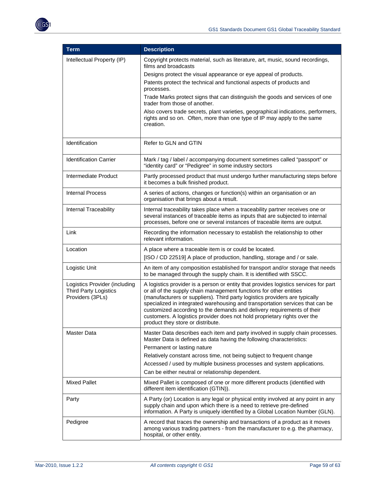

| <b>Term</b>                                                                       | <b>Description</b>                                                                                                                                                                                                                                                                                                                                                                                                                                                                                                     |  |
|-----------------------------------------------------------------------------------|------------------------------------------------------------------------------------------------------------------------------------------------------------------------------------------------------------------------------------------------------------------------------------------------------------------------------------------------------------------------------------------------------------------------------------------------------------------------------------------------------------------------|--|
| Intellectual Property (IP)                                                        | Copyright protects material, such as literature, art, music, sound recordings,<br>films and broadcasts                                                                                                                                                                                                                                                                                                                                                                                                                 |  |
|                                                                                   | Designs protect the visual appearance or eye appeal of products.                                                                                                                                                                                                                                                                                                                                                                                                                                                       |  |
|                                                                                   | Patents protect the technical and functional aspects of products and<br>processes.                                                                                                                                                                                                                                                                                                                                                                                                                                     |  |
|                                                                                   | Trade Marks protect signs that can distinguish the goods and services of one<br>trader from those of another.                                                                                                                                                                                                                                                                                                                                                                                                          |  |
|                                                                                   | Also covers trade secrets, plant varieties, geographical indications, performers,<br>rights and so on. Often, more than one type of IP may apply to the same<br>creation.                                                                                                                                                                                                                                                                                                                                              |  |
| Identification                                                                    | Refer to GLN and GTIN                                                                                                                                                                                                                                                                                                                                                                                                                                                                                                  |  |
| <b>Identification Carrier</b>                                                     | Mark / tag / label / accompanying document sometimes called "passport" or<br>"identity card" or "Pedigree" in some industry sectors                                                                                                                                                                                                                                                                                                                                                                                    |  |
| Intermediate Product                                                              | Partly processed product that must undergo further manufacturing steps before<br>it becomes a bulk finished product.                                                                                                                                                                                                                                                                                                                                                                                                   |  |
| <b>Internal Process</b>                                                           | A series of actions, changes or function(s) within an organisation or an<br>organisation that brings about a result.                                                                                                                                                                                                                                                                                                                                                                                                   |  |
| Internal Traceability                                                             | Internal traceability takes place when a traceability partner receives one or<br>several instances of traceable items as inputs that are subjected to internal<br>processes, before one or several instances of traceable items are output.                                                                                                                                                                                                                                                                            |  |
| Link                                                                              | Recording the information necessary to establish the relationship to other<br>relevant information.                                                                                                                                                                                                                                                                                                                                                                                                                    |  |
| Location                                                                          | A place where a traceable item is or could be located.                                                                                                                                                                                                                                                                                                                                                                                                                                                                 |  |
|                                                                                   | [ISO / CD 22519] A place of production, handling, storage and / or sale.                                                                                                                                                                                                                                                                                                                                                                                                                                               |  |
| Logistic Unit                                                                     | An item of any composition established for transport and/or storage that needs<br>to be managed through the supply chain. It is identified with SSCC.                                                                                                                                                                                                                                                                                                                                                                  |  |
| Logistics Provider (including<br><b>Third Party Logistics</b><br>Providers (3PLs) | A logistics provider is a person or entity that provides logistics services for part<br>or all of the supply chain management functions for other entities<br>(manufacturers or suppliers). Third party logistics providers are typically<br>specialized in integrated warehousing and transportation services that can be<br>customized according to the demands and delivery requirements of their<br>customers. A logistics provider does not hold proprietary rights over the<br>product they store or distribute. |  |
| <b>Master Data</b>                                                                | Master Data describes each item and party involved in supply chain processes.<br>Master Data is defined as data having the following characteristics:                                                                                                                                                                                                                                                                                                                                                                  |  |
|                                                                                   | Permanent or lasting nature                                                                                                                                                                                                                                                                                                                                                                                                                                                                                            |  |
|                                                                                   | Relatively constant across time, not being subject to frequent change                                                                                                                                                                                                                                                                                                                                                                                                                                                  |  |
|                                                                                   | Accessed / used by multiple business processes and system applications.                                                                                                                                                                                                                                                                                                                                                                                                                                                |  |
|                                                                                   | Can be either neutral or relationship dependent.                                                                                                                                                                                                                                                                                                                                                                                                                                                                       |  |
| <b>Mixed Pallet</b>                                                               | Mixed Pallet is composed of one or more different products (identified with<br>different item identification (GTIN)).                                                                                                                                                                                                                                                                                                                                                                                                  |  |
| Party                                                                             | A Party (or) Location is any legal or physical entity involved at any point in any<br>supply chain and upon which there is a need to retrieve pre-defined<br>information. A Party is uniquely identified by a Global Location Number (GLN).                                                                                                                                                                                                                                                                            |  |
| Pedigree                                                                          | A record that traces the ownership and transactions of a product as it moves<br>among various trading partners - from the manufacturer to e.g. the pharmacy,<br>hospital, or other entity.                                                                                                                                                                                                                                                                                                                             |  |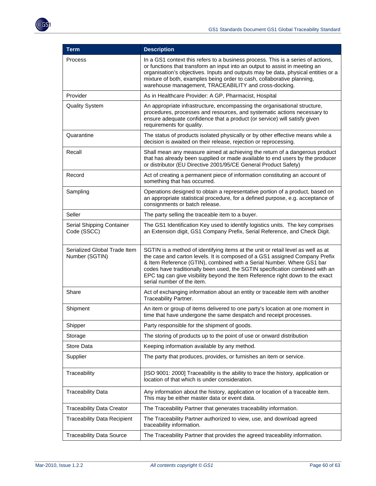

| <b>Term</b>                                    | <b>Description</b>                                                                                                                                                                                                                                                                                                                                                                                                                      |
|------------------------------------------------|-----------------------------------------------------------------------------------------------------------------------------------------------------------------------------------------------------------------------------------------------------------------------------------------------------------------------------------------------------------------------------------------------------------------------------------------|
| Process                                        | In a GS1 context this refers to a business process. This is a series of actions,<br>or functions that transform an input into an output to assist in meeting an<br>organisation's objectives. Inputs and outputs may be data, physical entities or a<br>mixture of both, examples being order to cash, collaborative planning,<br>warehouse management, TRACEABILITY and cross-docking.                                                 |
| Provider                                       | As in Healthcare Provider: A GP, Pharmacist, Hospital                                                                                                                                                                                                                                                                                                                                                                                   |
| <b>Quality System</b>                          | An appropriate infrastructure, encompassing the organisational structure,<br>procedures, processes and resources, and systematic actions necessary to<br>ensure adequate confidence that a product (or service) will satisfy given<br>requirements for quality.                                                                                                                                                                         |
| Quarantine                                     | The status of products isolated physically or by other effective means while a<br>decision is awaited on their release, rejection or reprocessing.                                                                                                                                                                                                                                                                                      |
| Recall                                         | Shall mean any measure aimed at achieving the return of a dangerous product<br>that has already been supplied or made available to end users by the producer<br>or distributor (EU Directive 2001/95/CE General Product Safety)                                                                                                                                                                                                         |
| Record                                         | Act of creating a permanent piece of information constituting an account of<br>something that has occurred.                                                                                                                                                                                                                                                                                                                             |
| Sampling                                       | Operations designed to obtain a representative portion of a product, based on<br>an appropriate statistical procedure, for a defined purpose, e.g. acceptance of<br>consignments or batch release.                                                                                                                                                                                                                                      |
| Seller                                         | The party selling the traceable item to a buyer.                                                                                                                                                                                                                                                                                                                                                                                        |
| Serial Shipping Container<br>Code (SSCC)       | The GS1 Identification Key used to identify logistics units. The key comprises<br>an Extension digit, GS1 Company Prefix, Serial Reference, and Check Digit.                                                                                                                                                                                                                                                                            |
| Serialized Global Trade Item<br>Number (SGTIN) | SGTIN is a method of identifying items at the unit or retail level as well as at<br>the case and carton levels. It is composed of a GS1 assigned Company Prefix<br>& Item Reference (GTIN), combined with a Serial Number. Where GS1 bar<br>codes have traditionally been used, the SGTIN specification combined with an<br>EPC tag can give visibility beyond the Item Reference right down to the exact<br>serial number of the item. |
| Share                                          | Act of exchanging information about an entity or traceable item with another<br>Traceability Partner.                                                                                                                                                                                                                                                                                                                                   |
| Shipment                                       | An item or group of items delivered to one party's location at one moment in<br>time that have undergone the same despatch and receipt processes.                                                                                                                                                                                                                                                                                       |
| Shipper                                        | Party responsible for the shipment of goods.                                                                                                                                                                                                                                                                                                                                                                                            |
| Storage                                        | The storing of products up to the point of use or onward distribution                                                                                                                                                                                                                                                                                                                                                                   |
| Store Data                                     | Keeping information available by any method.                                                                                                                                                                                                                                                                                                                                                                                            |
| Supplier                                       | The party that produces, provides, or furnishes an item or service.                                                                                                                                                                                                                                                                                                                                                                     |
| Traceability                                   | [ISO 9001: 2000] Traceability is the ability to trace the history, application or<br>location of that which is under consideration.                                                                                                                                                                                                                                                                                                     |
| <b>Traceability Data</b>                       | Any information about the history, application or location of a traceable item.<br>This may be either master data or event data.                                                                                                                                                                                                                                                                                                        |
| <b>Traceability Data Creator</b>               | The Traceability Partner that generates traceability information.                                                                                                                                                                                                                                                                                                                                                                       |
| <b>Traceability Data Recipient</b>             | The Traceability Partner authorized to view, use, and download agreed<br>traceability information.                                                                                                                                                                                                                                                                                                                                      |
| <b>Traceability Data Source</b>                | The Traceability Partner that provides the agreed traceability information.                                                                                                                                                                                                                                                                                                                                                             |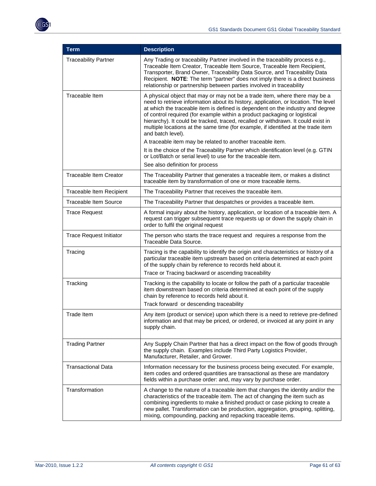

| <b>Term</b>                    | <b>Description</b>                                                                                                                                                                                                                                                                                                                                                                                                                                                                                                               |
|--------------------------------|----------------------------------------------------------------------------------------------------------------------------------------------------------------------------------------------------------------------------------------------------------------------------------------------------------------------------------------------------------------------------------------------------------------------------------------------------------------------------------------------------------------------------------|
| <b>Traceability Partner</b>    | Any Trading or traceability Partner involved in the traceability process e.g.,<br>Traceable Item Creator, Traceable Item Source, Traceable Item Recipient,<br>Transporter, Brand Owner, Traceability Data Source, and Traceability Data<br>Recipient. NOTE: The term "partner" does not imply there is a direct business<br>relationship or partnership between parties involved in traceability                                                                                                                                 |
| Traceable Item                 | A physical object that may or may not be a trade item, where there may be a<br>need to retrieve information about its history, application, or location. The level<br>at which the traceable item is defined is dependent on the industry and degree<br>of control required (for example within a product packaging or logistical<br>hierarchy). It could be tracked, traced, recalled or withdrawn. It could exist in<br>multiple locations at the same time (for example, if identified at the trade item<br>and batch level). |
|                                | A traceable item may be related to another traceable item.<br>It is the choice of the Traceability Partner which identification level (e.g. GTIN<br>or Lot/Batch or serial level) to use for the traceable item.<br>See also definition for process                                                                                                                                                                                                                                                                              |
| Traceable Item Creator         | The Traceability Partner that generates a traceable item, or makes a distinct<br>traceable item by transformation of one or more traceable items.                                                                                                                                                                                                                                                                                                                                                                                |
| Traceable Item Recipient       | The Traceability Partner that receives the traceable item.                                                                                                                                                                                                                                                                                                                                                                                                                                                                       |
| <b>Traceable Item Source</b>   | The Traceability Partner that despatches or provides a traceable item.                                                                                                                                                                                                                                                                                                                                                                                                                                                           |
| <b>Trace Request</b>           | A formal inquiry about the history, application, or location of a traceable item. A<br>request can trigger subsequent trace requests up or down the supply chain in<br>order to fulfil the original request                                                                                                                                                                                                                                                                                                                      |
| <b>Trace Request Initiator</b> | The person who starts the trace request and requires a response from the<br>Traceable Data Source.                                                                                                                                                                                                                                                                                                                                                                                                                               |
| Tracing                        | Tracing is the capability to identify the origin and characteristics or history of a<br>particular traceable item upstream based on criteria determined at each point<br>of the supply chain by reference to records held about it.<br>Trace or Tracing backward or ascending traceability                                                                                                                                                                                                                                       |
| Tracking                       | Tracking is the capability to locate or follow the path of a particular traceable                                                                                                                                                                                                                                                                                                                                                                                                                                                |
|                                | item downstream based on criteria determined at each point of the supply<br>chain by reference to records held about it.<br>Track forward or descending traceability                                                                                                                                                                                                                                                                                                                                                             |
| Trade Item                     |                                                                                                                                                                                                                                                                                                                                                                                                                                                                                                                                  |
|                                | Any item (product or service) upon which there is a need to retrieve pre-defined<br>information and that may be priced, or ordered, or invoiced at any point in any<br>supply chain.                                                                                                                                                                                                                                                                                                                                             |
| <b>Trading Partner</b>         | Any Supply Chain Partner that has a direct impact on the flow of goods through<br>the supply chain. Examples include Third Party Logistics Provider,<br>Manufacturer, Retailer, and Grower.                                                                                                                                                                                                                                                                                                                                      |
| <b>Transactional Data</b>      | Information necessary for the business process being executed. For example,<br>item codes and ordered quantities are transactional as these are mandatory<br>fields within a purchase order: and, may vary by purchase order.                                                                                                                                                                                                                                                                                                    |
| Transformation                 | A change to the nature of a traceable item that changes the identity and/or the<br>characteristics of the traceable item. The act of changing the item such as<br>combining ingredients to make a finished product or case picking to create a<br>new pallet. Transformation can be production, aggregation, grouping, splitting,<br>mixing, compounding, packing and repacking traceable items.                                                                                                                                 |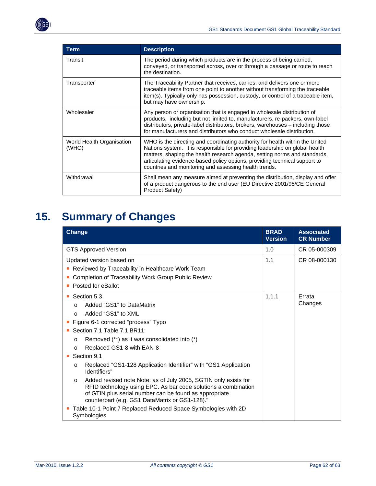<span id="page-61-0"></span>

| <b>Term</b>                        | <b>Description</b>                                                                                                                                                                                                                                                                                                                                                              |
|------------------------------------|---------------------------------------------------------------------------------------------------------------------------------------------------------------------------------------------------------------------------------------------------------------------------------------------------------------------------------------------------------------------------------|
| Transit                            | The period during which products are in the process of being carried,<br>conveyed, or transported across, over or through a passage or route to reach<br>the destination.                                                                                                                                                                                                       |
| Transporter                        | The Traceability Partner that receives, carries, and delivers one or more<br>traceable items from one point to another without transforming the traceable<br>item(s). Typically only has possession, custody, or control of a traceable item,<br>but may have ownership.                                                                                                        |
| Wholesaler                         | Any person or organisation that is engaged in wholesale distribution of<br>products, including but not limited to, manufacturers, re-packers, own-label<br>distributors, private-label distributors, brokers, warehouses - including those<br>for manufacturers and distributors who conduct wholesale distribution.                                                            |
| World Health Organisation<br>(WHO) | WHO is the directing and coordinating authority for health within the United<br>Nations system. It is responsible for providing leadership on global health<br>matters, shaping the health research agenda, setting norms and standards,<br>articulating evidence-based policy options, providing technical support to<br>countries and monitoring and assessing health trends. |
| Withdrawal                         | Shall mean any measure aimed at preventing the distribution, display and offer<br>of a product dangerous to the end user (EU Directive 2001/95/CE General<br>Product Safety)                                                                                                                                                                                                    |

# <span id="page-61-1"></span>**15. Summary of Changes**

| <b>Change</b>                                                                                                                                                                                                                                            | <b>BRAD</b><br><b>Version</b> | <b>Associated</b><br><b>CR Number</b> |
|----------------------------------------------------------------------------------------------------------------------------------------------------------------------------------------------------------------------------------------------------------|-------------------------------|---------------------------------------|
| <b>GTS Approved Version</b>                                                                                                                                                                                                                              | 1.0                           | CR 05-000309                          |
| Updated version based on                                                                                                                                                                                                                                 | 1.1                           | CR 08-000130                          |
| Reviewed by Traceability in Healthcare Work Team                                                                                                                                                                                                         |                               |                                       |
| Completion of Traceability Work Group Public Review                                                                                                                                                                                                      |                               |                                       |
| Posted for eBallot                                                                                                                                                                                                                                       |                               |                                       |
| ■ Section 5.3                                                                                                                                                                                                                                            | 1.1.1                         | Errata<br>Changes                     |
| Added "GS1" to DataMatrix<br>$\Omega$                                                                                                                                                                                                                    |                               |                                       |
| Added "GS1" to XML<br>$\Omega$                                                                                                                                                                                                                           |                               |                                       |
| Figure 6-1 corrected "process" Typo                                                                                                                                                                                                                      |                               |                                       |
| Section 7.1 Table 7.1 BR11:                                                                                                                                                                                                                              |                               |                                       |
| Removed (**) as it was consolidated into (*)<br>$\circ$                                                                                                                                                                                                  |                               |                                       |
| Replaced GS1-8 with EAN-8<br>$\circ$                                                                                                                                                                                                                     |                               |                                       |
| Section 9.1                                                                                                                                                                                                                                              |                               |                                       |
| Replaced "GS1-128 Application Identifier" with "GS1 Application<br>O<br>Identifiers"                                                                                                                                                                     |                               |                                       |
| Added revised note Note: as of July 2005, SGTIN only exists for<br>$\circ$<br>RFID technology using EPC. As bar code solutions a combination<br>of GTIN plus serial number can be found as appropriate<br>counterpart (e.g. GS1 DataMatrix or GS1-128)." |                               |                                       |
| Table 10-1 Point 7 Replaced Reduced Space Symbologies with 2D<br>Symbologies                                                                                                                                                                             |                               |                                       |